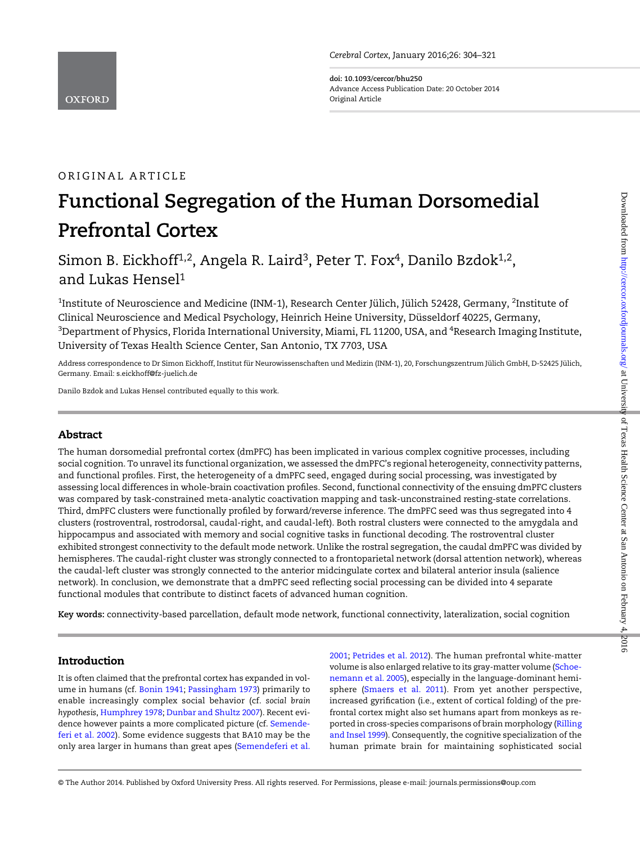doi: 10.1093/cercor/bhu250 Advance Access Publication Date: 20 October 2014 Original Article

# ORIGINAL ARTICLE

**OXFORD** 

# Functional Segregation of the Human Dorsomedial Prefrontal Cortex

Simon B. Eickhoff<sup>1,2</sup>, Angela R. Laird<sup>3</sup>, Peter T. Fox<sup>4</sup>, Danilo Bzdok<sup>1,2</sup>, and Lukas Hensel1

 $^{\rm 1}$ Institute of Neuroscience and Medicine (INM-1), Research Center Jülich, Jülich 52428, Germany,  $^{\rm 2}$ Institute of Clinical Neuroscience and Medical Psychology, Heinrich Heine University, Düsseldorf 40225, Germany,  $^{\rm 3}$ Department of Physics, Florida International University, Miami, FL 11200, USA, and  $^{\rm 4}$ Research Imaging Institute, University of Texas Health Science Center, San Antonio, TX 7703, USA

Address correspondence to Dr Simon Eickhoff, Institut für Neurowissenschaften und Medizin (INM-1), 20, Forschungszentrum Jülich GmbH, D-52425 Jülich, Germany. Email: s.eickhoff@fz-juelich.de

Danilo Bzdok and Lukas Hensel contributed equally to this work.

# Abstract

The human dorsomedial prefrontal cortex (dmPFC) has been implicated in various complex cognitive processes, including social cognition. To unravel its functional organization, we assessed the dmPFC's regional heterogeneity, connectivity patterns, and functional profiles. First, the heterogeneity of a dmPFC seed, engaged during social processing, was investigated by assessing local differences in whole-brain coactivation profiles. Second, functional connectivity of the ensuing dmPFC clusters was compared by task-constrained meta-analytic coactivation mapping and task-unconstrained resting-state correlations. Third, dmPFC clusters were functionally profiled by forward/reverse inference. The dmPFC seed was thus segregated into 4 clusters (rostroventral, rostrodorsal, caudal-right, and caudal-left). Both rostral clusters were connected to the amygdala and hippocampus and associated with memory and social cognitive tasks in functional decoding. The rostroventral cluster exhibited strongest connectivity to the default mode network. Unlike the rostral segregation, the caudal dmPFC was divided by hemispheres. The caudal-right cluster was strongly connected to a frontoparietal network (dorsal attention network), whereas the caudal-left cluster was strongly connected to the anterior midcingulate cortex and bilateral anterior insula (salience network). In conclusion, we demonstrate that a dmPFC seed reflecting social processing can be divided into 4 separate functional modules that contribute to distinct facets of advanced human cognition.

Key words: connectivity-based parcellation, default mode network, functional connectivity, lateralization, social cognition

## Introduction

It is often claimed that the prefrontal cortex has expanded in volume in humans (cf. [Bonin 1941](#page-13-0); [Passingham 1973\)](#page-16-0) primarily to enable increasingly complex social behavior (cf. social brain hypothesis, [Humphrey 1978;](#page-15-0) [Dunbar and Shultz 2007](#page-14-0)). Recent evi-dence however paints a more complicated picture (cf. [Semende](#page-16-0)[feri et al. 2002\)](#page-16-0). Some evidence suggests that BA10 may be the only area larger in humans than great apes [\(Semendeferi et al.](#page-16-0)

[2001;](#page-16-0) [Petrides et al. 2012](#page-16-0)). The human prefrontal white-matter volume is also enlarged relative to its gray-matter volume [\(Schoe](#page-16-0)[nemann et al. 2005](#page-16-0)), especially in the language-dominant hemisphere ([Smaers et al. 2011](#page-16-0)). From yet another perspective, increased gyrification (i.e., extent of cortical folding) of the prefrontal cortex might also set humans apart from monkeys as reported in cross-species comparisons of brain morphology ([Rilling](#page-16-0) [and Insel 1999\)](#page-16-0). Consequently, the cognitive specialization of the human primate brain for maintaining sophisticated social

© The Author 2014. Published by Oxford University Press. All rights reserved. For Permissions, please e-mail: journals.permissions@oup.com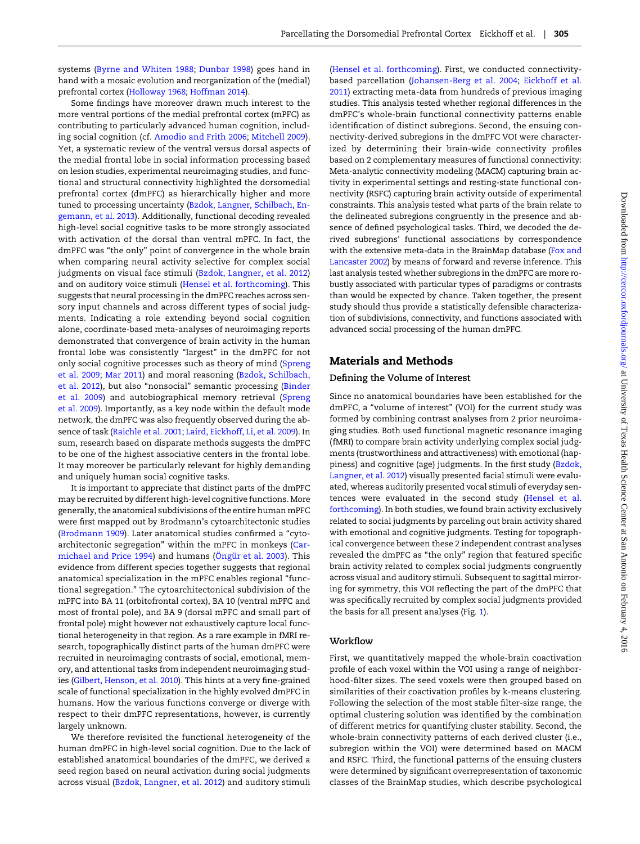systems ([Byrne and Whiten 1988;](#page-14-0) [Dunbar 1998\)](#page-14-0) goes hand in hand with a mosaic evolution and reorganization of the (medial) prefrontal cortex ([Holloway 1968](#page-15-0); [Hoffman 2014\)](#page-15-0).

Some findings have moreover drawn much interest to the more ventral portions of the medial prefrontal cortex (mPFC) as contributing to particularly advanced human cognition, including social cognition (cf. [Amodio and Frith 2006](#page-13-0); [Mitchell 2009](#page-16-0)). Yet, a systematic review of the ventral versus dorsal aspects of the medial frontal lobe in social information processing based on lesion studies, experimental neuroimaging studies, and functional and structural connectivity highlighted the dorsomedial prefrontal cortex (dmPFC) as hierarchically higher and more tuned to processing uncertainty ([Bzdok, Langner, Schilbach, En](#page-14-0)[gemann, et al. 2013](#page-14-0)). Additionally, functional decoding revealed high-level social cognitive tasks to be more strongly associated with activation of the dorsal than ventral mPFC. In fact, the dmPFC was "the only" point of convergence in the whole brain when comparing neural activity selective for complex social judgments on visual face stimuli [\(Bzdok, Langner, et al. 2012\)](#page-14-0) and on auditory voice stimuli ([Hensel et al. forthcoming\)](#page-15-0). This suggests that neural processing in the dmPFC reaches across sensory input channels and across different types of social judgments. Indicating a role extending beyond social cognition alone, coordinate-based meta-analyses of neuroimaging reports demonstrated that convergence of brain activity in the human frontal lobe was consistently "largest" in the dmPFC for not only social cognitive processes such as theory of mind [\(Spreng](#page-16-0) [et al. 2009;](#page-16-0) [Mar 2011](#page-15-0)) and moral reasoning ([Bzdok, Schilbach,](#page-14-0) [et al. 2012](#page-14-0)), but also "nonsocial" semantic processing [\(Binder](#page-13-0) [et al. 2009](#page-13-0)) and autobiographical memory retrieval ([Spreng](#page-16-0) [et al. 2009\)](#page-16-0). Importantly, as a key node within the default mode network, the dmPFC was also frequently observed during the absence of task ([Raichle et al. 2001;](#page-16-0) [Laird, Eickhoff, Li, et al. 2009](#page-15-0)). In sum, research based on disparate methods suggests the dmPFC to be one of the highest associative centers in the frontal lobe. It may moreover be particularly relevant for highly demanding and uniquely human social cognitive tasks.

It is important to appreciate that distinct parts of the dmPFC may be recruited by different high-level cognitive functions. More generally, the anatomical subdivisions of the entire human mPFC were first mapped out by Brodmann's cytoarchitectonic studies [\(Brodmann 1909](#page-13-0)). Later anatomical studies confirmed a "cytoarchitectonic segregation" within the mPFC in monkeys ([Car](#page-14-0)[michael and Price 1994\)](#page-14-0) and humans ([Öngür et al. 2003](#page-16-0)). This evidence from different species together suggests that regional anatomical specialization in the mPFC enables regional "functional segregation." The cytoarchitectonical subdivision of the mPFC into BA 11 (orbitofrontal cortex), BA 10 (ventral mPFC and most of frontal pole), and BA 9 (dorsal mPFC and small part of frontal pole) might however not exhaustively capture local functional heterogeneity in that region. As a rare example in fMRI research, topographically distinct parts of the human dmPFC were recruited in neuroimaging contrasts of social, emotional, memory, and attentional tasks from independent neuroimaging studies [\(Gilbert, Henson, et al. 2010](#page-15-0)). This hints at a very fine-grained scale of functional specialization in the highly evolved dmPFC in humans. How the various functions converge or diverge with respect to their dmPFC representations, however, is currently largely unknown.

We therefore revisited the functional heterogeneity of the human dmPFC in high-level social cognition. Due to the lack of established anatomical boundaries of the dmPFC, we derived a seed region based on neural activation during social judgments across visual ([Bzdok, Langner, et al. 2012](#page-14-0)) and auditory stimuli

[\(Hensel et al. forthcoming\)](#page-15-0). First, we conducted connectivitybased parcellation ([Johansen-Berg et al. 2004](#page-15-0); [Eickhoff et al.](#page-14-0) [2011\)](#page-14-0) extracting meta-data from hundreds of previous imaging studies. This analysis tested whether regional differences in the dmPFC's whole-brain functional connectivity patterns enable identification of distinct subregions. Second, the ensuing connectivity-derived subregions in the dmPFC VOI were characterized by determining their brain-wide connectivity profiles based on 2 complementary measures of functional connectivity: Meta-analytic connectivity modeling (MACM) capturing brain activity in experimental settings and resting-state functional connectivity (RSFC) capturing brain activity outside of experimental constraints. This analysis tested what parts of the brain relate to the delineated subregions congruently in the presence and absence of defined psychological tasks. Third, we decoded the derived subregions' functional associations by correspondence with the extensive meta-data in the BrainMap database [\(Fox and](#page-15-0) [Lancaster 2002](#page-15-0)) by means of forward and reverse inference. This last analysis tested whether subregions in the dmPFC are more robustly associated with particular types of paradigms or contrasts than would be expected by chance. Taken together, the present study should thus provide a statistically defensible characterization of subdivisions, connectivity, and functions associated with advanced social processing of the human dmPFC.

## Materials and Methods

## Defining the Volume of Interest

Since no anatomical boundaries have been established for the dmPFC, a "volume of interest" (VOI) for the current study was formed by combining contrast analyses from 2 prior neuroimaging studies. Both used functional magnetic resonance imaging (fMRI) to compare brain activity underlying complex social judgments (trustworthiness and attractiveness) with emotional (happiness) and cognitive (age) judgments. In the first study ([Bzdok,](#page-14-0) [Langner, et al. 2012\)](#page-14-0) visually presented facial stimuli were evaluated, whereas auditorily presented vocal stimuli of everyday sentences were evaluated in the second study [\(Hensel et al.](#page-15-0) [forthcoming](#page-15-0)). In both studies, we found brain activity exclusively related to social judgments by parceling out brain activity shared with emotional and cognitive judgments. Testing for topographical convergence between these 2 independent contrast analyses revealed the dmPFC as "the only" region that featured specific brain activity related to complex social judgments congruently across visual and auditory stimuli. Subsequent to sagittal mirroring for symmetry, this VOI reflecting the part of the dmPFC that was specifically recruited by complex social judgments provided the basis for all present analyses (Fig. [1\)](#page-2-0).

#### Workflow

First, we quantitatively mapped the whole-brain coactivation profile of each voxel within the VOI using a range of neighborhood-filter sizes. The seed voxels were then grouped based on similarities of their coactivation profiles by k-means clustering. Following the selection of the most stable filter-size range, the optimal clustering solution was identified by the combination of different metrics for quantifying cluster stability. Second, the whole-brain connectivity patterns of each derived cluster (i.e., subregion within the VOI) were determined based on MACM and RSFC. Third, the functional patterns of the ensuing clusters were determined by significant overrepresentation of taxonomic classes of the BrainMap studies, which describe psychological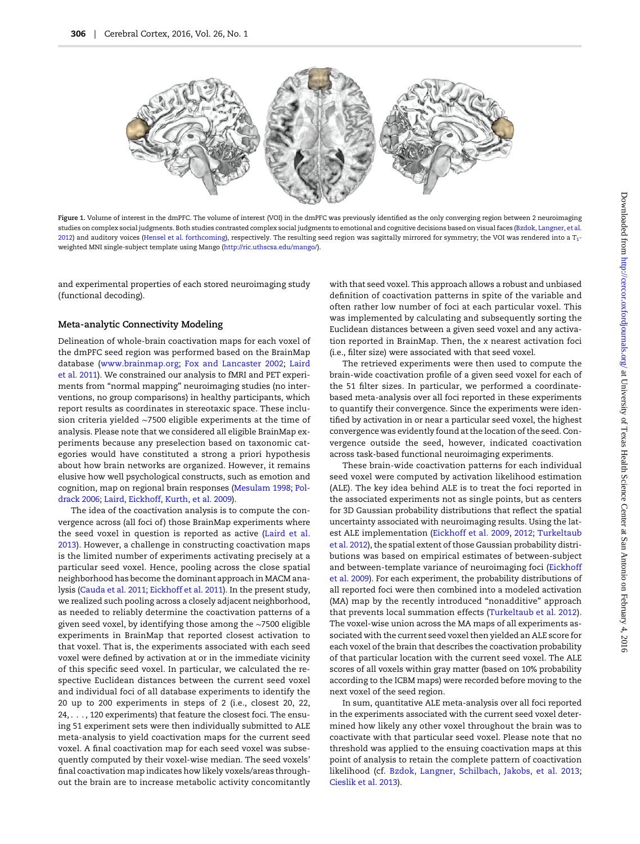<span id="page-2-0"></span>

Figure 1. Volume of interest in the dmPFC. The volume of interest (VOI) in the dmPFC was previously identified as the only converging region between 2 neuroimaging studies on complex social judgments. Both studies contrasted complex social judgments to emotional and cognitive decisions based on visual faces ([Bzdok, Langner, et al.](#page-14-0) [2012](#page-14-0)) and auditory voices ([Hensel et al. forthcoming](#page-15-0)), respectively. The resulting seed region was sagittally mirrored for symmetry; the VOI was rendered into a T1weighted MNI single-subject template using Mango (<http://ric.uthscsa.edu/mango/>).

and experimental properties of each stored neuroimaging study (functional decoding).

## Meta-analytic Connectivity Modeling

Delineation of whole-brain coactivation maps for each voxel of the dmPFC seed region was performed based on the BrainMap database [\(www.brainmap.org;](www.brainmap.org) [Fox and Lancaster 2002](#page-15-0); [Laird](#page-15-0) [et al. 2011](#page-15-0)). We constrained our analysis to fMRI and PET experiments from "normal mapping" neuroimaging studies (no interventions, no group comparisons) in healthy participants, which report results as coordinates in stereotaxic space. These inclusion criteria yielded ∼7500 eligible experiments at the time of analysis. Please note that we considered all eligible BrainMap experiments because any preselection based on taxonomic categories would have constituted a strong a priori hypothesis about how brain networks are organized. However, it remains elusive how well psychological constructs, such as emotion and cognition, map on regional brain responses [\(Mesulam 1998;](#page-16-0) [Pol](#page-16-0)[drack 2006;](#page-16-0) [Laird, Eickhoff, Kurth, et al. 2009](#page-15-0)).

The idea of the coactivation analysis is to compute the convergence across (all foci of) those BrainMap experiments where the seed voxel in question is reported as active ([Laird et al.](#page-15-0) [2013\)](#page-15-0). However, a challenge in constructing coactivation maps is the limited number of experiments activating precisely at a particular seed voxel. Hence, pooling across the close spatial neighborhood has become the dominant approach in MACM analysis [\(Cauda et al. 2011](#page-14-0); [Eickhoff et al. 2011\)](#page-14-0). In the present study, we realized such pooling across a closely adjacent neighborhood, as needed to reliably determine the coactivation patterns of a given seed voxel, by identifying those among the ∼7500 eligible experiments in BrainMap that reported closest activation to that voxel. That is, the experiments associated with each seed voxel were defined by activation at or in the immediate vicinity of this specific seed voxel. In particular, we calculated the respective Euclidean distances between the current seed voxel and individual foci of all database experiments to identify the 20 up to 200 experiments in steps of 2 (i.e., closest 20, 22, 24, . . . , 120 experiments) that feature the closest foci. The ensuing 51 experiment sets were then individually submitted to ALE meta-analysis to yield coactivation maps for the current seed voxel. A final coactivation map for each seed voxel was subsequently computed by their voxel-wise median. The seed voxels' final coactivation map indicates how likely voxels/areas throughout the brain are to increase metabolic activity concomitantly

with that seed voxel. This approach allows a robust and unbiased definition of coactivation patterns in spite of the variable and often rather low number of foci at each particular voxel. This was implemented by calculating and subsequently sorting the Euclidean distances between a given seed voxel and any activation reported in BrainMap. Then, the x nearest activation foci (i.e., filter size) were associated with that seed voxel.

The retrieved experiments were then used to compute the brain-wide coactivation profile of a given seed voxel for each of the 51 filter sizes. In particular, we performed a coordinatebased meta-analysis over all foci reported in these experiments to quantify their convergence. Since the experiments were identified by activation in or near a particular seed voxel, the highest convergence was evidently found at the location of the seed. Convergence outside the seed, however, indicated coactivation across task-based functional neuroimaging experiments.

These brain-wide coactivation patterns for each individual seed voxel were computed by activation likelihood estimation (ALE). The key idea behind ALE is to treat the foci reported in the associated experiments not as single points, but as centers for 3D Gaussian probability distributions that reflect the spatial uncertainty associated with neuroimaging results. Using the latest ALE implementation ([Eickhoff et al. 2009,](#page-14-0) [2012](#page-14-0); [Turkeltaub](#page-17-0) [et al. 2012](#page-17-0)), the spatial extent of those Gaussian probability distributions was based on empirical estimates of between-subject and between-template variance of neuroimaging foci ([Eickhoff](#page-14-0) [et al. 2009](#page-14-0)). For each experiment, the probability distributions of all reported foci were then combined into a modeled activation (MA) map by the recently introduced "nonadditive" approach that prevents local summation effects [\(Turkeltaub et al. 2012](#page-17-0)). The voxel-wise union across the MA maps of all experiments associated with the current seed voxel then yielded an ALE score for each voxel of the brain that describes the coactivation probability of that particular location with the current seed voxel. The ALE scores of all voxels within gray matter (based on 10% probability according to the ICBM maps) were recorded before moving to the next voxel of the seed region.

In sum, quantitative ALE meta-analysis over all foci reported in the experiments associated with the current seed voxel determined how likely any other voxel throughout the brain was to coactivate with that particular seed voxel. Please note that no threshold was applied to the ensuing coactivation maps at this point of analysis to retain the complete pattern of coactivation likelihood (cf. [Bzdok, Langner, Schilbach, Jakobs, et al. 2013;](#page-14-0) [Cieslik et al. 2013\)](#page-14-0).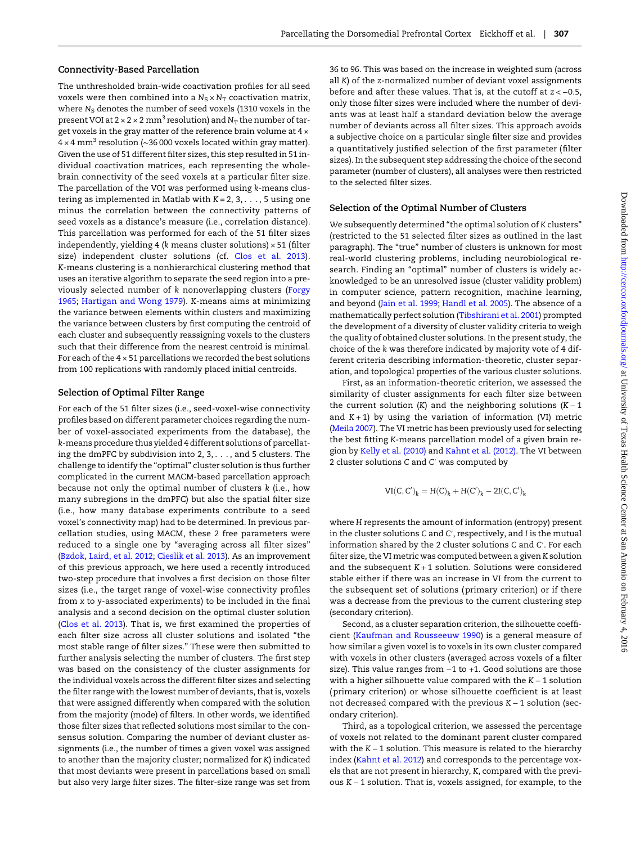#### Connectivity-Based Parcellation

The unthresholded brain-wide coactivation profiles for all seed voxels were then combined into a  $N_S \times N_T$  coactivation matrix, where  $N_S$  denotes the number of seed voxels (1310 voxels in the present VOI at  $2 \times 2 \times 2$  mm<sup>3</sup> resolution) and N<sub>T</sub> the number of target voxels in the gray matter of the reference brain volume at 4 × 4 × 4 mm3 resolution (∼36 000 voxels located within gray matter). Given the use of 51 different filter sizes, this step resulted in 51 individual coactivation matrices, each representing the wholebrain connectivity of the seed voxels at a particular filter size. The parcellation of the VOI was performed using k-means clustering as implemented in Matlab with  $K = 2, 3, \ldots, 5$  using one minus the correlation between the connectivity patterns of seed voxels as a distance's measure (i.e., correlation distance). This parcellation was performed for each of the 51 filter sizes independently, yielding 4 ( $k$  means cluster solutions)  $\times$  51 (filter size) independent cluster solutions (cf. [Clos et al. 2013](#page-14-0)). K-means clustering is a nonhierarchical clustering method that uses an iterative algorithm to separate the seed region into a previously selected number of k nonoverlapping clusters [\(Forgy](#page-14-0) [1965;](#page-14-0) [Hartigan and Wong 1979\)](#page-15-0). K-means aims at minimizing the variance between elements within clusters and maximizing the variance between clusters by first computing the centroid of each cluster and subsequently reassigning voxels to the clusters such that their difference from the nearest centroid is minimal. For each of the  $4 \times 51$  parcellations we recorded the best solutions from 100 replications with randomly placed initial centroids.

## Selection of Optimal Filter Range

For each of the 51 filter sizes (i.e., seed-voxel-wise connectivity profiles based on different parameter choices regarding the number of voxel-associated experiments from the database), the k-means procedure thus yielded 4 different solutions of parcellating the dmPFC by subdivision into 2, 3, . . . , and 5 clusters. The challenge to identify the "optimal" cluster solution is thus further complicated in the current MACM-based parcellation approach because not only the optimal number of clusters k (i.e., how many subregions in the dmPFC) but also the spatial filter size (i.e., how many database experiments contribute to a seed voxel's connectivity map) had to be determined. In previous parcellation studies, using MACM, these 2 free parameters were reduced to a single one by "averaging across all filter sizes" [\(Bzdok, Laird, et al. 2012;](#page-14-0) [Cieslik et al. 2013\)](#page-14-0). As an improvement of this previous approach, we here used a recently introduced two-step procedure that involves a first decision on those filter sizes (i.e., the target range of voxel-wise connectivity profiles from x to y-associated experiments) to be included in the final analysis and a second decision on the optimal cluster solution [\(Clos et al. 2013](#page-14-0)). That is, we first examined the properties of each filter size across all cluster solutions and isolated "the most stable range of filter sizes." These were then submitted to further analysis selecting the number of clusters. The first step was based on the consistency of the cluster assignments for the individual voxels across the different filter sizes and selecting the filter range with the lowest number of deviants, that is, voxels that were assigned differently when compared with the solution from the majority (mode) of filters. In other words, we identified those filter sizes that reflected solutions most similar to the consensus solution. Comparing the number of deviant cluster assignments (i.e., the number of times a given voxel was assigned to another than the majority cluster; normalized for K) indicated that most deviants were present in parcellations based on small but also very large filter sizes. The filter-size range was set from

36 to 96. This was based on the increase in weighted sum (across all K) of the z-normalized number of deviant voxel assignments before and after these values. That is, at the cutoff at  $z < -0.5$ , only those filter sizes were included where the number of deviants was at least half a standard deviation below the average number of deviants across all filter sizes. This approach avoids a subjective choice on a particular single filter size and provides a quantitatively justified selection of the first parameter (filter sizes). In the subsequent step addressing the choice of the second parameter (number of clusters), all analyses were then restricted to the selected filter sizes.

#### Selection of the Optimal Number of Clusters

We subsequently determined "the optimal solution of K clusters" (restricted to the 51 selected filter sizes as outlined in the last paragraph). The "true" number of clusters is unknown for most real-world clustering problems, including neurobiological research. Finding an "optimal" number of clusters is widely acknowledged to be an unresolved issue (cluster validity problem) in computer science, pattern recognition, machine learning, and beyond [\(Jain et al. 1999](#page-15-0); [Handl et al. 2005\)](#page-15-0). The absence of a mathematically perfect solution [\(Tibshirani et al. 2001](#page-17-0)) prompted the development of a diversity of cluster validity criteria to weigh the quality of obtained cluster solutions. In the present study, the choice of the k was therefore indicated by majority vote of 4 different criteria describing information-theoretic, cluster separation, and topological properties of the various cluster solutions.

First, as an information-theoretic criterion, we assessed the similarity of cluster assignments for each filter size between the current solution (K) and the neighboring solutions (K − 1 and  $K + 1$ ) by using the variation of information (VI) metric [\(Meila 2007](#page-15-0)). The VI metric has been previously used for selecting the best fitting K-means parcellation model of a given brain region by [Kelly et al. \(2010\)](#page-15-0) and [Kahnt et al. \(2012\).](#page-15-0) The VI between 2 cluster solutions C and C′ was computed by

$$
VI(C,C')_k=H(C)_k+H(C')_k-2I(C,C')_k\\
$$

where H represents the amount of information (entropy) present in the cluster solutions C and C′, respectively, and I is the mutual information shared by the 2 cluster solutions C and C′. For each filter size, the VI metric was computed between a given K solution and the subsequent K + 1 solution. Solutions were considered stable either if there was an increase in VI from the current to the subsequent set of solutions (primary criterion) or if there was a decrease from the previous to the current clustering step (secondary criterion).

Second, as a cluster separation criterion, the silhouette coefficient [\(Kaufman and Rousseeuw 1990](#page-15-0)) is a general measure of how similar a given voxel is to voxels in its own cluster compared with voxels in other clusters (averaged across voxels of a filter size). This value ranges from −1 to +1. Good solutions are those with a higher silhouette value compared with the K − 1 solution (primary criterion) or whose silhouette coefficient is at least not decreased compared with the previous K − 1 solution (secondary criterion).

Third, as a topological criterion, we assessed the percentage of voxels not related to the dominant parent cluster compared with the K – 1 solution. This measure is related to the hierarchy index ([Kahnt et al. 2012](#page-15-0)) and corresponds to the percentage voxels that are not present in hierarchy, K, compared with the previous K − 1 solution. That is, voxels assigned, for example, to the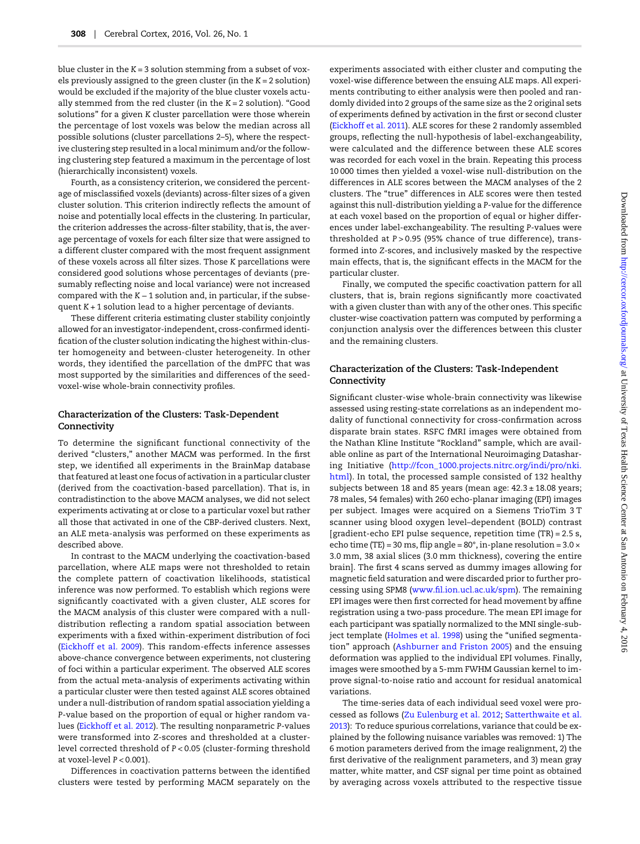blue cluster in the  $K = 3$  solution stemming from a subset of voxels previously assigned to the green cluster (in the  $K = 2$  solution) would be excluded if the majority of the blue cluster voxels actually stemmed from the red cluster (in the  $K = 2$  solution). "Good solutions" for a given K cluster parcellation were those wherein the percentage of lost voxels was below the median across all possible solutions (cluster parcellations 2–5), where the respective clustering step resulted in a local minimum and/or the following clustering step featured a maximum in the percentage of lost (hierarchically inconsistent) voxels.

Fourth, as a consistency criterion, we considered the percentage of misclassified voxels (deviants) across-filter sizes of a given cluster solution. This criterion indirectly reflects the amount of noise and potentially local effects in the clustering. In particular, the criterion addresses the across-filter stability, that is, the average percentage of voxels for each filter size that were assigned to a different cluster compared with the most frequent assignment of these voxels across all filter sizes. Those K parcellations were considered good solutions whose percentages of deviants (presumably reflecting noise and local variance) were not increased compared with the K − 1 solution and, in particular, if the subsequent K + 1 solution lead to a higher percentage of deviants.

These different criteria estimating cluster stability conjointly allowed for an investigator-independent, cross-confirmed identification of the cluster solution indicating the highest within-cluster homogeneity and between-cluster heterogeneity. In other words, they identified the parcellation of the dmPFC that was most supported by the similarities and differences of the seedvoxel-wise whole-brain connectivity profiles.

#### Characterization of the Clusters: Task-Dependent **Connectivity**

To determine the significant functional connectivity of the derived "clusters," another MACM was performed. In the first step, we identified all experiments in the BrainMap database that featured at least one focus of activation in a particular cluster (derived from the coactivation-based parcellation). That is, in contradistinction to the above MACM analyses, we did not select experiments activating at or close to a particular voxel but rather all those that activated in one of the CBP-derived clusters. Next, an ALE meta-analysis was performed on these experiments as described above.

In contrast to the MACM underlying the coactivation-based parcellation, where ALE maps were not thresholded to retain the complete pattern of coactivation likelihoods, statistical inference was now performed. To establish which regions were significantly coactivated with a given cluster, ALE scores for the MACM analysis of this cluster were compared with a nulldistribution reflecting a random spatial association between experiments with a fixed within-experiment distribution of foci [\(Eickhoff et al. 2009](#page-14-0)). This random-effects inference assesses above-chance convergence between experiments, not clustering of foci within a particular experiment. The observed ALE scores from the actual meta-analysis of experiments activating within a particular cluster were then tested against ALE scores obtained under a null-distribution of random spatial association yielding a P-value based on the proportion of equal or higher random values ([Eickhoff et al. 2012](#page-14-0)). The resulting nonparametric P-values were transformed into Z-scores and thresholded at a clusterlevel corrected threshold of P < 0.05 (cluster-forming threshold at voxel-level  $P < 0.001$ ).

Differences in coactivation patterns between the identified clusters were tested by performing MACM separately on the

experiments associated with either cluster and computing the voxel-wise difference between the ensuing ALE maps. All experiments contributing to either analysis were then pooled and randomly divided into 2 groups of the same size as the 2 original sets of experiments defined by activation in the first or second cluster [\(Eickhoff et al. 2011](#page-14-0)). ALE scores for these 2 randomly assembled groups, reflecting the null-hypothesis of label-exchangeability, were calculated and the difference between these ALE scores was recorded for each voxel in the brain. Repeating this process 10 000 times then yielded a voxel-wise null-distribution on the differences in ALE scores between the MACM analyses of the 2 clusters. The "true" differences in ALE scores were then tested against this null-distribution yielding a P-value for the difference at each voxel based on the proportion of equal or higher differences under label-exchangeability. The resulting P-values were thresholded at P > 0.95 (95% chance of true difference), transformed into Z-scores, and inclusively masked by the respective main effects, that is, the significant effects in the MACM for the particular cluster.

Finally, we computed the specific coactivation pattern for all clusters, that is, brain regions significantly more coactivated with a given cluster than with any of the other ones. This specific cluster-wise coactivation pattern was computed by performing a conjunction analysis over the differences between this cluster and the remaining clusters.

## Characterization of the Clusters: Task-Independent Connectivity

Significant cluster-wise whole-brain connectivity was likewise assessed using resting-state correlations as an independent modality of functional connectivity for cross-confirmation across disparate brain states. RSFC fMRI images were obtained from the Nathan Kline Institute "Rockland" sample, which are available online as part of the International Neuroimaging Datasharing Initiative ([http://fcon\\_1000.projects.nitrc.org/indi/pro/nki.](http://fcon_1000.projects.nitrc.org/indi/pro/nki.html) [html](http://fcon_1000.projects.nitrc.org/indi/pro/nki.html)). In total, the processed sample consisted of 132 healthy subjects between 18 and 85 years (mean age: 42.3 ± 18.08 years; 78 males, 54 females) with 260 echo-planar imaging (EPI) images per subject. Images were acquired on a Siemens TrioTim 3 T scanner using blood oxygen level–dependent (BOLD) contrast [gradient-echo EPI pulse sequence, repetition time (TR) = 2.5 s, echo time (TE) = 30 ms, flip angle =  $80^\circ$ , in-plane resolution =  $3.0 \times$ 3.0 mm, 38 axial slices (3.0 mm thickness), covering the entire brain]. The first 4 scans served as dummy images allowing for magnetic field saturation and were discarded prior to further processing using SPM8 [\(www.](www.fil.ion.ucl.ac.uk/spm)fi[l.ion.ucl.ac.uk/spm\)](www.fil.ion.ucl.ac.uk/spm). The remaining EPI images were then first corrected for head movement by affine registration using a two-pass procedure. The mean EPI image for each participant was spatially normalized to the MNI single-subject template [\(Holmes et al. 1998](#page-15-0)) using the "unified segmentation" approach [\(Ashburner and Friston 2005\)](#page-13-0) and the ensuing deformation was applied to the individual EPI volumes. Finally, images were smoothed by a 5-mm FWHM Gaussian kernel to improve signal-to-noise ratio and account for residual anatomical variations.

The time-series data of each individual seed voxel were processed as follows ([Zu Eulenburg et al. 2012;](#page-17-0) [Satterthwaite et al.](#page-16-0) [2013\)](#page-16-0): To reduce spurious correlations, variance that could be explained by the following nuisance variables was removed: 1) The 6 motion parameters derived from the image realignment, 2) the first derivative of the realignment parameters, and 3) mean gray matter, white matter, and CSF signal per time point as obtained by averaging across voxels attributed to the respective tissue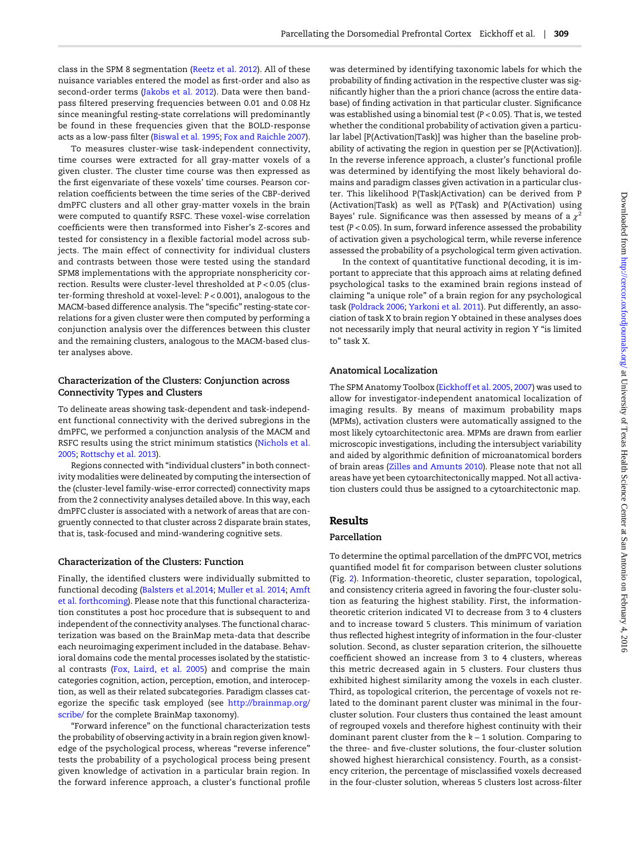class in the SPM 8 segmentation ([Reetz et al. 2012\)](#page-16-0). All of these nuisance variables entered the model as first-order and also as second-order terms [\(Jakobs et al. 2012](#page-15-0)). Data were then bandpass filtered preserving frequencies between 0.01 and 0.08 Hz since meaningful resting-state correlations will predominantly be found in these frequencies given that the BOLD-response acts as a low-pass filter [\(Biswal et al. 1995;](#page-13-0) [Fox and Raichle 2007\)](#page-15-0).

To measures cluster-wise task-independent connectivity, time courses were extracted for all gray-matter voxels of a given cluster. The cluster time course was then expressed as the first eigenvariate of these voxels' time courses. Pearson correlation coefficients between the time series of the CBP-derived dmPFC clusters and all other gray-matter voxels in the brain were computed to quantify RSFC. These voxel-wise correlation coefficients were then transformed into Fisher's Z-scores and tested for consistency in a flexible factorial model across subjects. The main effect of connectivity for individual clusters and contrasts between those were tested using the standard SPM8 implementations with the appropriate nonsphericity correction. Results were cluster-level thresholded at P < 0.05 (cluster-forming threshold at voxel-level: P < 0.001), analogous to the MACM-based difference analysis. The "specific" resting-state correlations for a given cluster were then computed by performing a conjunction analysis over the differences between this cluster and the remaining clusters, analogous to the MACM-based cluster analyses above.

## Characterization of the Clusters: Conjunction across Connectivity Types and Clusters

To delineate areas showing task-dependent and task-independent functional connectivity with the derived subregions in the dmPFC, we performed a conjunction analysis of the MACM and RSFC results using the strict minimum statistics ([Nichols et al.](#page-16-0) [2005;](#page-16-0) [Rottschy et al. 2013\)](#page-16-0).

Regions connected with "individual clusters" in both connectivity modalities were delineated by computing the intersection of the (cluster-level family-wise-error corrected) connectivity maps from the 2 connectivity analyses detailed above. In this way, each dmPFC cluster is associated with a network of areas that are congruently connected to that cluster across 2 disparate brain states, that is, task-focused and mind-wandering cognitive sets.

#### Characterization of the Clusters: Function

Finally, the identified clusters were individually submitted to functional decoding [\(Balsters et al.2014;](#page-13-0) [Muller et al. 2014;](#page-16-0) [Amft](#page-13-0) [et al. forthcoming\)](#page-13-0). Please note that this functional characterization constitutes a post hoc procedure that is subsequent to and independent of the connectivity analyses. The functional characterization was based on the BrainMap meta-data that describe each neuroimaging experiment included in the database. Behavioral domains code the mental processes isolated by the statistical contrasts [\(Fox, Laird, et al. 2005\)](#page-15-0) and comprise the main categories cognition, action, perception, emotion, and interoception, as well as their related subcategories. Paradigm classes categorize the specific task employed (see [http://brainmap.org/](http://brainmap.org/scribe/) [scribe/](http://brainmap.org/scribe/) for the complete BrainMap taxonomy).

"Forward inference" on the functional characterization tests the probability of observing activity in a brain region given knowledge of the psychological process, whereas "reverse inference" tests the probability of a psychological process being present given knowledge of activation in a particular brain region. In the forward inference approach, a cluster's functional profile

was determined by identifying taxonomic labels for which the probability of finding activation in the respective cluster was significantly higher than the a priori chance (across the entire database) of finding activation in that particular cluster. Significance was established using a binomial test (P < 0.05). That is, we tested whether the conditional probability of activation given a particular label [P(Activation|Task)] was higher than the baseline probability of activating the region in question per se [P(Activation)]. In the reverse inference approach, a cluster's functional profile was determined by identifying the most likely behavioral domains and paradigm classes given activation in a particular cluster. This likelihood P(Task|Activation) can be derived from P (Activation|Task) as well as P(Task) and P(Activation) using Bayes' rule. Significance was then assessed by means of a  $\chi^2$ test (P < 0.05). In sum, forward inference assessed the probability of activation given a psychological term, while reverse inference assessed the probability of a psychological term given activation.

In the context of quantitative functional decoding, it is important to appreciate that this approach aims at relating defined psychological tasks to the examined brain regions instead of claiming "a unique role" of a brain region for any psychological task ([Poldrack 2006](#page-16-0); [Yarkoni et al. 2011\)](#page-17-0). Put differently, an association of task X to brain region Y obtained in these analyses does not necessarily imply that neural activity in region Y "is limited to" task X.

#### Anatomical Localization

The SPM Anatomy Toolbox [\(Eickhoff et al. 2005,](#page-14-0) [2007\)](#page-14-0) was used to allow for investigator-independent anatomical localization of imaging results. By means of maximum probability maps (MPMs), activation clusters were automatically assigned to the most likely cytoarchitectonic area. MPMs are drawn from earlier microscopic investigations, including the intersubject variability and aided by algorithmic definition of microanatomical borders of brain areas ([Zilles and Amunts 2010](#page-17-0)). Please note that not all areas have yet been cytoarchitectonically mapped. Not all activation clusters could thus be assigned to a cytoarchitectonic map.

# Results

#### Parcellation

To determine the optimal parcellation of the dmPFC VOI, metrics quantified model fit for comparison between cluster solutions (Fig. [2\)](#page-6-0). Information-theoretic, cluster separation, topological, and consistency criteria agreed in favoring the four-cluster solution as featuring the highest stability. First, the informationtheoretic criterion indicated VI to decrease from 3 to 4 clusters and to increase toward 5 clusters. This minimum of variation thus reflected highest integrity of information in the four-cluster solution. Second, as cluster separation criterion, the silhouette coefficient showed an increase from 3 to 4 clusters, whereas this metric decreased again in 5 clusters. Four clusters thus exhibited highest similarity among the voxels in each cluster. Third, as topological criterion, the percentage of voxels not related to the dominant parent cluster was minimal in the fourcluster solution. Four clusters thus contained the least amount of regrouped voxels and therefore highest continuity with their dominant parent cluster from the k − 1 solution. Comparing to the three- and five-cluster solutions, the four-cluster solution showed highest hierarchical consistency. Fourth, as a consistency criterion, the percentage of misclassified voxels decreased in the four-cluster solution, whereas 5 clusters lost across-filter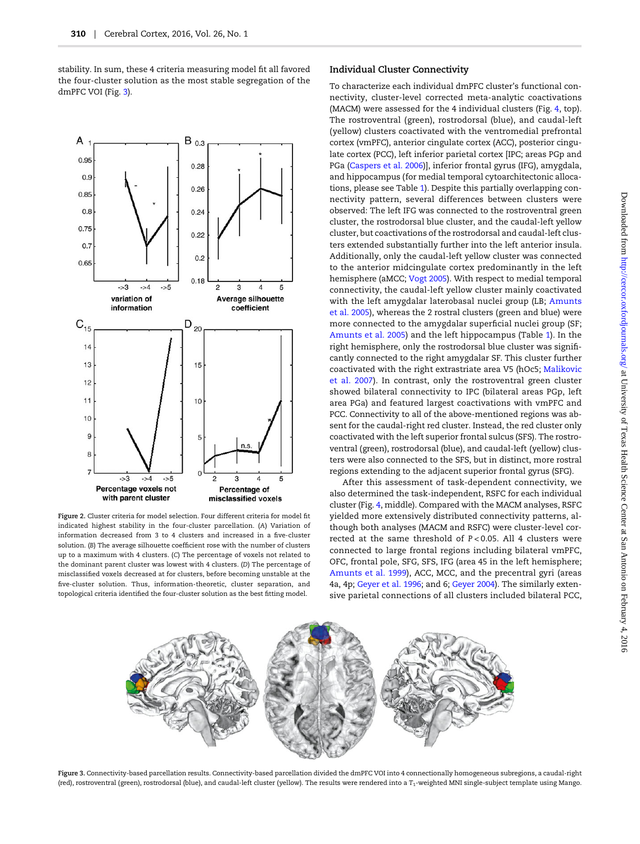the four-cluster solution as the most stable segregation of the dmPFC VOI (Fig. 3). Α  $B_{0.3}$ 0.95 0.28  $0.9$  $0.26$ 0.85  $0.8$  $0.24$ 

 $0.22$ 

 $0.2$ 

 $0.18$ 

15

 $10$ 

 $\mathsf{C}$ 

 $\overline{c}$ 

3

Percentage of

misclassified voxels

5

D  $20$   $\overline{c}$ 3  $\overline{4}$ 5

**Average silhouette** 

coefficient

0.75

 $0.7$ 

0.65

 $\mathbf{C}_{\mathbf{15}}$ 

 $14$ 13

 $12$  $11$ 

 $-23$ 

variation of

information

 $\rightarrow 3$  $-54$  $-55$ 

Percentage voxels not

with parent cluster

 $-24$  $-55$ 

<span id="page-6-0"></span>stability. In sum, these 4 criteria measuring model fit all favored



#### Individual Cluster Connectivity

To characterize each individual dmPFC cluster's functional connectivity, cluster-level corrected meta-analytic coactivations (MACM) were assessed for the 4 individual clusters (Fig. [4,](#page-7-0) top). The rostroventral (green), rostrodorsal (blue), and caudal-left (yellow) clusters coactivated with the ventromedial prefrontal cortex (vmPFC), anterior cingulate cortex (ACC), posterior cingulate cortex (PCC), left inferior parietal cortex [IPC; areas PGp and PGa ([Caspers et al. 2006\)](#page-14-0)], inferior frontal gyrus (IFG), amygdala, and hippocampus (for medial temporal cytoarchitectonic allocations, please see Table [1\)](#page-8-0). Despite this partially overlapping connectivity pattern, several differences between clusters were observed: The left IFG was connected to the rostroventral green cluster, the rostrodorsal blue cluster, and the caudal-left yellow cluster, but coactivations of the rostrodorsal and caudal-left clusters extended substantially further into the left anterior insula. Additionally, only the caudal-left yellow cluster was connected to the anterior midcingulate cortex predominantly in the left hemisphere (aMCC; [Vogt 2005\)](#page-17-0). With respect to medial temporal connectivity, the caudal-left yellow cluster mainly coactivated with the left amygdalar laterobasal nuclei group (LB; [Amunts](#page-13-0) [et al. 2005\)](#page-13-0), whereas the 2 rostral clusters (green and blue) were more connected to the amygdalar superficial nuclei group (SF; [Amunts et al. 2005](#page-13-0)) and the left hippocampus (Table [1\)](#page-8-0). In the right hemisphere, only the rostrodorsal blue cluster was significantly connected to the right amygdalar SF. This cluster further coactivated with the right extrastriate area V5 (hOc5; [Malikovic](#page-15-0) [et al. 2007](#page-15-0)). In contrast, only the rostroventral green cluster showed bilateral connectivity to IPC (bilateral areas PGp, left area PGa) and featured largest coactivations with vmPFC and PCC. Connectivity to all of the above-mentioned regions was absent for the caudal-right red cluster. Instead, the red cluster only coactivated with the left superior frontal sulcus (SFS). The rostroventral (green), rostrodorsal (blue), and caudal-left (yellow) clusters were also connected to the SFS, but in distinct, more rostral regions extending to the adjacent superior frontal gyrus (SFG).

After this assessment of task-dependent connectivity, we also determined the task-independent, RSFC for each individual cluster (Fig. [4](#page-7-0), middle). Compared with the MACM analyses, RSFC yielded more extensively distributed connectivity patterns, although both analyses (MACM and RSFC) were cluster-level corrected at the same threshold of P < 0.05. All 4 clusters were connected to large frontal regions including bilateral vmPFC, OFC, frontal pole, SFG, SFS, IFG (area 45 in the left hemisphere; [Amunts et al. 1999](#page-13-0)), ACC, MCC, and the precentral gyri (areas 4a, 4p; [Geyer et al. 1996](#page-15-0); and 6; [Geyer 2004](#page-15-0)). The similarly extensive parietal connections of all clusters included bilateral PCC,



Figure 3. Connectivity-based parcellation results. Connectivity-based parcellation divided the dmPFC VOI into 4 connectionally homogeneous subregions, a caudal-right (red), rostroventral (green), rostrodorsal (blue), and caudal-left cluster (yellow). The results were rendered into a T<sub>1</sub>-weighted MNI single-subject template using Mango.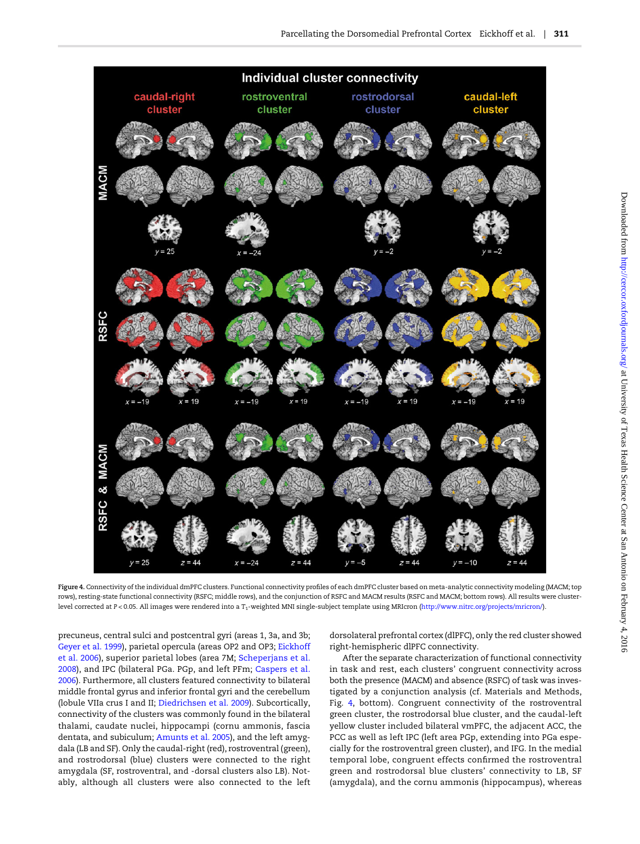<span id="page-7-0"></span>

Figure 4. Connectivity of the individual dmPFC clusters. Functional connectivity profiles of each dmPFC cluster based on meta-analytic connectivity modeling (MACM; top rows), resting-state functional connectivity (RSFC; middle rows), and the conjunction of RSFC and MACM results (RSFC and MACM; bottom rows). All results were cluster-level corrected at P < 0.05. All images were rendered into a T<sub>1</sub>-weighted MNI single-subject template using MRIcron [\(http://www.nitrc.org/projects/mricron/\)](http://www.nitrc.org/projects/mricron/).

precuneus, central sulci and postcentral gyri (areas 1, 3a, and 3b; [Geyer et al. 1999](#page-15-0)), parietal opercula (areas OP2 and OP3; [Eickhoff](#page-14-0) [et al. 2006\)](#page-14-0), superior parietal lobes (area 7M; [Scheperjans et al.](#page-16-0) [2008\)](#page-16-0), and IPC (bilateral PGa. PGp, and left PFm; [Caspers et al.](#page-14-0) [2006\)](#page-14-0). Furthermore, all clusters featured connectivity to bilateral middle frontal gyrus and inferior frontal gyri and the cerebellum (lobule VIIa crus I and II; [Diedrichsen et al. 2009](#page-14-0)). Subcortically, connectivity of the clusters was commonly found in the bilateral thalami, caudate nuclei, hippocampi (cornu ammonis, fascia dentata, and subiculum; [Amunts et al. 2005\)](#page-13-0), and the left amygdala (LB and SF). Only the caudal-right (red), rostroventral (green), and rostrodorsal (blue) clusters were connected to the right amygdala (SF, rostroventral, and -dorsal clusters also LB). Notably, although all clusters were also connected to the left

dorsolateral prefrontal cortex (dlPFC), only the red cluster showed right-hemispheric dlPFC connectivity.

After the separate characterization of functional connectivity in task and rest, each clusters' congruent connectivity across both the presence (MACM) and absence (RSFC) of task was investigated by a conjunction analysis (cf. Materials and Methods, Fig. 4, bottom). Congruent connectivity of the rostroventral green cluster, the rostrodorsal blue cluster, and the caudal-left yellow cluster included bilateral vmPFC, the adjacent ACC, the PCC as well as left IPC (left area PGp, extending into PGa especially for the rostroventral green cluster), and IFG. In the medial temporal lobe, congruent effects confirmed the rostroventral green and rostrodorsal blue clusters' connectivity to LB, SF (amygdala), and the cornu ammonis (hippocampus), whereas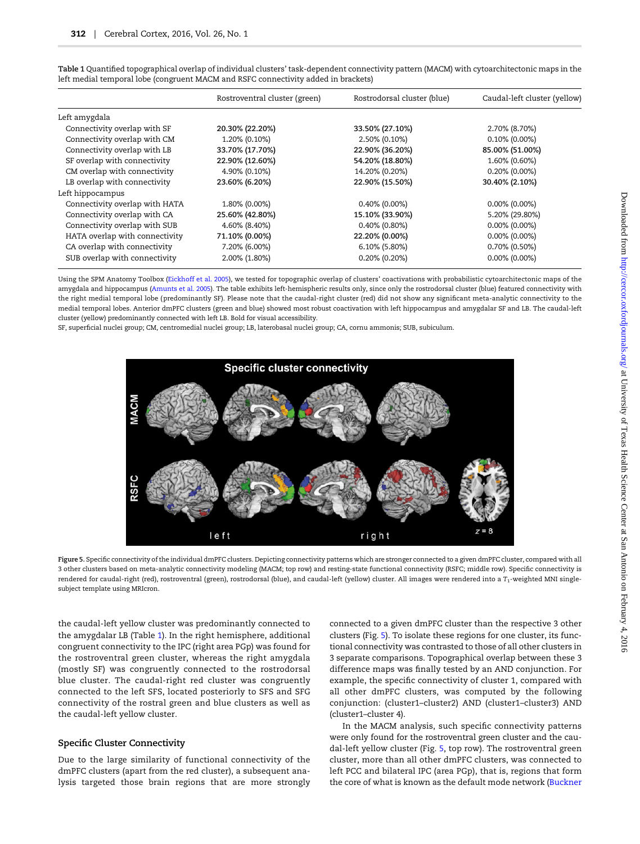|                                | Rostroventral cluster (green) | Rostrodorsal cluster (blue) | Caudal-left cluster (yellow) |
|--------------------------------|-------------------------------|-----------------------------|------------------------------|
| Left amygdala                  |                               |                             |                              |
| Connectivity overlap with SF   | 20.30% (22.20%)               | 33.50% (27.10%)             | 2.70% (8.70%)                |
| Connectivity overlap with CM   | 1.20% (0.10%)                 | 2.50% (0.10%)               | $0.10\%$ (0.00%)             |
| Connectivity overlap with LB   | 33.70% (17.70%)               | 22.90% (36.20%)             | 85.00% (51.00%)              |
| SF overlap with connectivity   | 22.90% (12.60%)               | 54.20% (18.80%)             | 1.60% (0.60%)                |
| CM overlap with connectivity   | 4.90% (0.10%)                 | 14.20% (0.20%)              | $0.20\%$ (0.00%)             |
| LB overlap with connectivity   | 23.60% (6.20%)                | 22.90% (15.50%)             | 30.40% (2.10%)               |
| Left hippocampus               |                               |                             |                              |
| Connectivity overlap with HATA | 1.80% (0.00%)                 | $0.40\%$ (0.00%)            | $0.00\%$ (0.00%)             |
| Connectivity overlap with CA   | 25.60% (42.80%)               | 15.10% (33.90%)             | 5.20% (29.80%)               |
| Connectivity overlap with SUB  | 4.60% (8.40%)                 | $0.40\%$ (0.80%)            | $0.00\%$ (0.00%)             |
| HATA overlap with connectivity | 71.10% (0.00%)                | 22.20% (0.00%)              | $0.00\%$ (0.00%)             |
| CA overlap with connectivity   | 7.20% (6.00%)                 | $6.10\%$ (5.80%)            | $0.70\%$ (0.50%)             |
| SUB overlap with connectivity  | 2.00% (1.80%)                 | $0.20\%$ (0.20%)            | $0.00\%$ (0.00%)             |

<span id="page-8-0"></span>Table 1 Quantified topographical overlap of individual clusters' task-dependent connectivity pattern (MACM) with cytoarchitectonic maps in the left medial temporal lobe (congruent MACM and RSFC connectivity added in brackets)

Using the SPM Anatomy Toolbox ([Eickhoff et al. 2005](#page-14-0)), we tested for topographic overlap of clusters' coactivations with probabilistic cytoarchitectonic maps of the amygdala and hippocampus ([Amunts et al. 2005\)](#page-13-0). The table exhibits left-hemispheric results only, since only the rostrodorsal cluster (blue) featured connectivity with the right medial temporal lobe (predominantly SF). Please note that the caudal-right cluster (red) did not show any significant meta-analytic connectivity to the medial temporal lobes. Anterior dmPFC clusters (green and blue) showed most robust coactivation with left hippocampus and amygdalar SF and LB. The caudal-left cluster (yellow) predominantly connected with left LB. Bold for visual accessibility.

SF, superficial nuclei group; CM, centromedial nuclei group; LB, laterobasal nuclei group; CA, cornu ammonis; SUB, subiculum.



Figure 5. Specific connectivity of the individual dmPFC clusters. Depicting connectivity patterns which are stronger connected to a given dmPFC cluster, compared with all 3 other clusters based on meta-analytic connectivity modeling (MACM; top row) and resting-state functional connectivity (RSFC; middle row). Specific connectivity is rendered for caudal-right (red), rostroventral (green), rostrodorsal (blue), and caudal-left (yellow) cluster. All images were rendered into a T<sub>1</sub>-weighted MNI singlesubject template using MRIcron.

the caudal-left yellow cluster was predominantly connected to the amygdalar LB (Table 1). In the right hemisphere, additional congruent connectivity to the IPC (right area PGp) was found for the rostroventral green cluster, whereas the right amygdala (mostly SF) was congruently connected to the rostrodorsal blue cluster. The caudal-right red cluster was congruently connected to the left SFS, located posteriorly to SFS and SFG connectivity of the rostral green and blue clusters as well as the caudal-left yellow cluster.

#### Specific Cluster Connectivity

Due to the large similarity of functional connectivity of the dmPFC clusters (apart from the red cluster), a subsequent analysis targeted those brain regions that are more strongly

connected to a given dmPFC cluster than the respective 3 other clusters (Fig. 5). To isolate these regions for one cluster, its functional connectivity was contrasted to those of all other clusters in 3 separate comparisons. Topographical overlap between these 3 difference maps was finally tested by an AND conjunction. For example, the specific connectivity of cluster 1, compared with all other dmPFC clusters, was computed by the following conjunction: (cluster1–cluster2) AND (cluster1–cluster3) AND (cluster1–cluster 4).

In the MACM analysis, such specific connectivity patterns were only found for the rostroventral green cluster and the caudal-left yellow cluster (Fig. 5, top row). The rostroventral green cluster, more than all other dmPFC clusters, was connected to left PCC and bilateral IPC (area PGp), that is, regions that form the core of what is known as the default mode network ([Buckner](#page-14-0)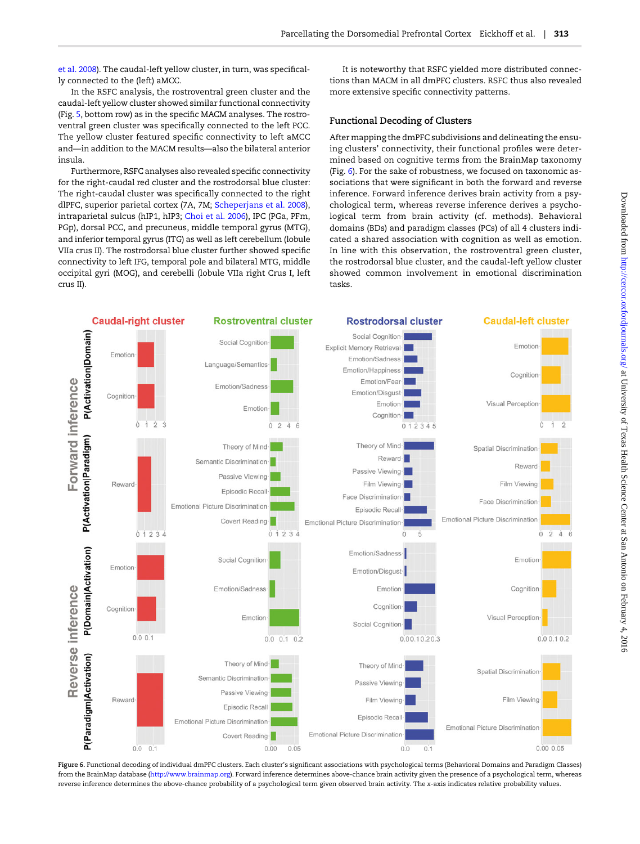<span id="page-9-0"></span>[et al. 2008\)](#page-14-0). The caudal-left yellow cluster, in turn, was specifically connected to the (left) aMCC.

In the RSFC analysis, the rostroventral green cluster and the caudal-left yellow cluster showed similar functional connectivity (Fig. [5,](#page-8-0) bottom row) as in the specific MACM analyses. The rostroventral green cluster was specifically connected to the left PCC. The yellow cluster featured specific connectivity to left aMCC and—in addition to the MACM results—also the bilateral anterior insula.

Furthermore, RSFC analyses also revealed specific connectivity for the right-caudal red cluster and the rostrodorsal blue cluster: The right-caudal cluster was specifically connected to the right dlPFC, superior parietal cortex (7A, 7M; [Scheperjans et al. 2008\)](#page-16-0), intraparietal sulcus (hIP1, hIP3; [Choi et al. 2006\)](#page-14-0), IPC (PGa, PFm, PGp), dorsal PCC, and precuneus, middle temporal gyrus (MTG), and inferior temporal gyrus (ITG) as well as left cerebellum (lobule VIIa crus II). The rostrodorsal blue cluster further showed specific connectivity to left IFG, temporal pole and bilateral MTG, middle occipital gyri (MOG), and cerebelli (lobule VIIa right Crus I, left crus II).

It is noteworthy that RSFC yielded more distributed connections than MACM in all dmPFC clusters. RSFC thus also revealed more extensive specific connectivity patterns.

#### Functional Decoding of Clusters

After mapping the dmPFC subdivisions and delineating the ensuing clusters' connectivity, their functional profiles were determined based on cognitive terms from the BrainMap taxonomy (Fig. 6). For the sake of robustness, we focused on taxonomic associations that were significant in both the forward and reverse inference. Forward inference derives brain activity from a psychological term, whereas reverse inference derives a psychological term from brain activity (cf. methods). Behavioral domains (BDs) and paradigm classes (PCs) of all 4 clusters indicated a shared association with cognition as well as emotion. In line with this observation, the rostroventral green cluster, the rostrodorsal blue cluster, and the caudal-left yellow cluster showed common involvement in emotional discrimination tasks.



Figure 6. Functional decoding of individual dmPFC clusters. Each cluster's significant associations with psychological terms (Behavioral Domains and Paradigm Classes) from the BrainMap database [\(http://www.brainmap.org\)](http://www.brainmap.org). Forward inference determines above-chance brain activity given the presence of a psychological term, whereas reverse inference determines the above-chance probability of a psychological term given observed brain activity. The x-axis indicates relative probability values.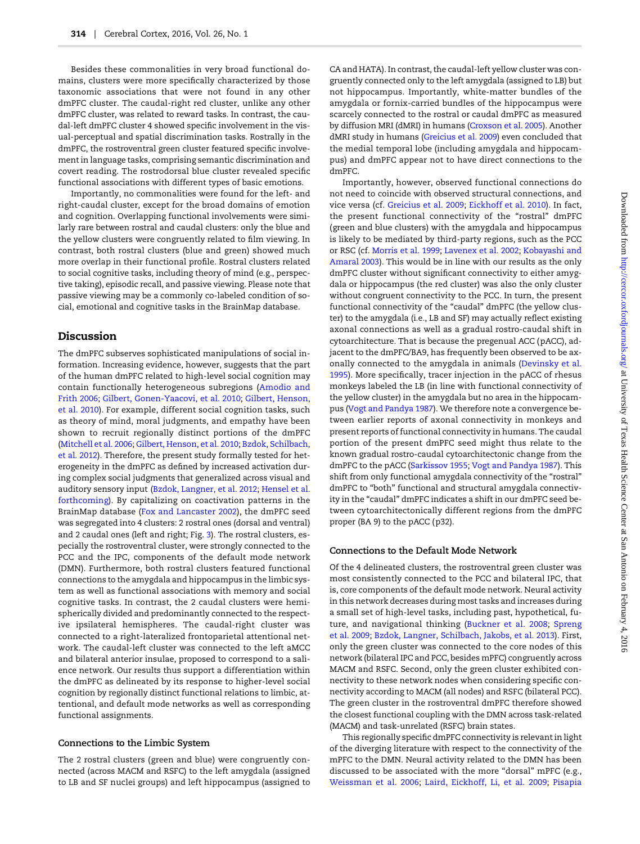Besides these commonalities in very broad functional domains, clusters were more specifically characterized by those taxonomic associations that were not found in any other dmPFC cluster. The caudal-right red cluster, unlike any other dmPFC cluster, was related to reward tasks. In contrast, the caudal-left dmPFC cluster 4 showed specific involvement in the visual-perceptual and spatial discrimination tasks. Rostrally in the dmPFC, the rostroventral green cluster featured specific involvement in language tasks, comprising semantic discrimination and covert reading. The rostrodorsal blue cluster revealed specific functional associations with different types of basic emotions.

Importantly, no commonalities were found for the left- and right-caudal cluster, except for the broad domains of emotion and cognition. Overlapping functional involvements were similarly rare between rostral and caudal clusters: only the blue and the yellow clusters were congruently related to film viewing. In contrast, both rostral clusters (blue and green) showed much more overlap in their functional profile. Rostral clusters related to social cognitive tasks, including theory of mind (e.g., perspective taking), episodic recall, and passive viewing. Please note that passive viewing may be a commonly co-labeled condition of social, emotional and cognitive tasks in the BrainMap database.

## Discussion

The dmPFC subserves sophisticated manipulations of social information. Increasing evidence, however, suggests that the part of the human dmPFC related to high-level social cognition may contain functionally heterogeneous subregions ([Amodio and](#page-13-0) [Frith 2006;](#page-13-0) [Gilbert, Gonen-Yaacovi, et al. 2010](#page-15-0); [Gilbert, Henson,](#page-15-0) [et al. 2010\)](#page-15-0). For example, different social cognition tasks, such as theory of mind, moral judgments, and empathy have been shown to recruit regionally distinct portions of the dmPFC [\(Mitchell et al. 2006;](#page-16-0) [Gilbert, Henson, et al. 2010](#page-15-0); [Bzdok, Schilbach,](#page-14-0) [et al. 2012](#page-14-0)). Therefore, the present study formally tested for heterogeneity in the dmPFC as defined by increased activation during complex social judgments that generalized across visual and auditory sensory input [\(Bzdok, Langner, et al. 2012;](#page-14-0) [Hensel et al.](#page-15-0) [forthcoming\)](#page-15-0). By capitalizing on coactivation patterns in the BrainMap database [\(Fox and Lancaster 2002\)](#page-15-0), the dmPFC seed was segregated into 4 clusters: 2 rostral ones (dorsal and ventral) and 2 caudal ones (left and right; Fig. [3\)](#page-6-0). The rostral clusters, especially the rostroventral cluster, were strongly connected to the PCC and the IPC, components of the default mode network (DMN). Furthermore, both rostral clusters featured functional connections to the amygdala and hippocampus in the limbic system as well as functional associations with memory and social cognitive tasks. In contrast, the 2 caudal clusters were hemispherically divided and predominantly connected to the respective ipsilateral hemispheres. The caudal-right cluster was connected to a right-lateralized frontoparietal attentional network. The caudal-left cluster was connected to the left aMCC and bilateral anterior insulae, proposed to correspond to a salience network. Our results thus support a differentiation within the dmPFC as delineated by its response to higher-level social cognition by regionally distinct functional relations to limbic, attentional, and default mode networks as well as corresponding functional assignments.

#### Connections to the Limbic System

The 2 rostral clusters (green and blue) were congruently connected (across MACM and RSFC) to the left amygdala (assigned to LB and SF nuclei groups) and left hippocampus (assigned to

CA and HATA). In contrast, the caudal-left yellow cluster was congruently connected only to the left amygdala (assigned to LB) but not hippocampus. Importantly, white-matter bundles of the amygdala or fornix-carried bundles of the hippocampus were scarcely connected to the rostral or caudal dmPFC as measured by diffusion MRI (dMRI) in humans ([Croxson et al. 2005\)](#page-14-0). Another dMRI study in humans [\(Greicius et al. 2009](#page-15-0)) even concluded that the medial temporal lobe (including amygdala and hippocampus) and dmPFC appear not to have direct connections to the dmPFC.

Importantly, however, observed functional connections do not need to coincide with observed structural connections, and vice versa (cf. [Greicius et al. 2009;](#page-15-0) [Eickhoff et al. 2010\)](#page-14-0). In fact, the present functional connectivity of the "rostral" dmPFC (green and blue clusters) with the amygdala and hippocampus is likely to be mediated by third-party regions, such as the PCC or RSC (cf. [Morris et al. 1999](#page-16-0); [Lavenex et al. 2002;](#page-15-0) [Kobayashi and](#page-15-0) [Amaral 2003\)](#page-15-0). This would be in line with our results as the only dmPFC cluster without significant connectivity to either amygdala or hippocampus (the red cluster) was also the only cluster without congruent connectivity to the PCC. In turn, the present functional connectivity of the "caudal" dmPFC (the yellow cluster) to the amygdala (i.e., LB and SF) may actually reflect existing axonal connections as well as a gradual rostro-caudal shift in cytoarchitecture. That is because the pregenual ACC (pACC), adjacent to the dmPFC/BA9, has frequently been observed to be axonally connected to the amygdala in animals ([Devinsky et al.](#page-14-0) [1995\)](#page-14-0). More specifically, tracer injection in the pACC of rhesus monkeys labeled the LB (in line with functional connectivity of the yellow cluster) in the amygdala but no area in the hippocampus [\(Vogt and Pandya 1987](#page-17-0)). We therefore note a convergence between earlier reports of axonal connectivity in monkeys and present reports of functional connectivity in humans. The caudal portion of the present dmPFC seed might thus relate to the known gradual rostro-caudal cytoarchitectonic change from the dmPFC to the pACC ([Sarkissov 1955](#page-16-0); [Vogt and Pandya 1987\)](#page-17-0). This shift from only functional amygdala connectivity of the "rostral" dmPFC to "both" functional and structural amygdala connectivity in the "caudal" dmPFC indicates a shift in our dmPFC seed between cytoarchitectonically different regions from the dmPFC proper (BA 9) to the pACC (p32).

#### Connections to the Default Mode Network

Of the 4 delineated clusters, the rostroventral green cluster was most consistently connected to the PCC and bilateral IPC, that is, core components of the default mode network. Neural activity in this network decreases during most tasks and increases during a small set of high-level tasks, including past, hypothetical, future, and navigational thinking [\(Buckner et al. 2008](#page-14-0); [Spreng](#page-16-0) [et al. 2009](#page-16-0); [Bzdok, Langner, Schilbach, Jakobs, et al. 2013\)](#page-14-0). First, only the green cluster was connected to the core nodes of this network (bilateral IPC and PCC, besides mPFC) congruently across MACM and RSFC. Second, only the green cluster exhibited connectivity to these network nodes when considering specific connectivity according to MACM (all nodes) and RSFC (bilateral PCC). The green cluster in the rostroventral dmPFC therefore showed the closest functional coupling with the DMN across task-related (MACM) and task-unrelated (RSFC) brain states.

This regionally specific dmPFC connectivity is relevant in light of the diverging literature with respect to the connectivity of the mPFC to the DMN. Neural activity related to the DMN has been discussed to be associated with the more "dorsal" mPFC (e.g., [Weissman et al. 2006;](#page-17-0) [Laird, Eickhoff, Li, et al. 2009;](#page-15-0) [Pisapia](#page-16-0)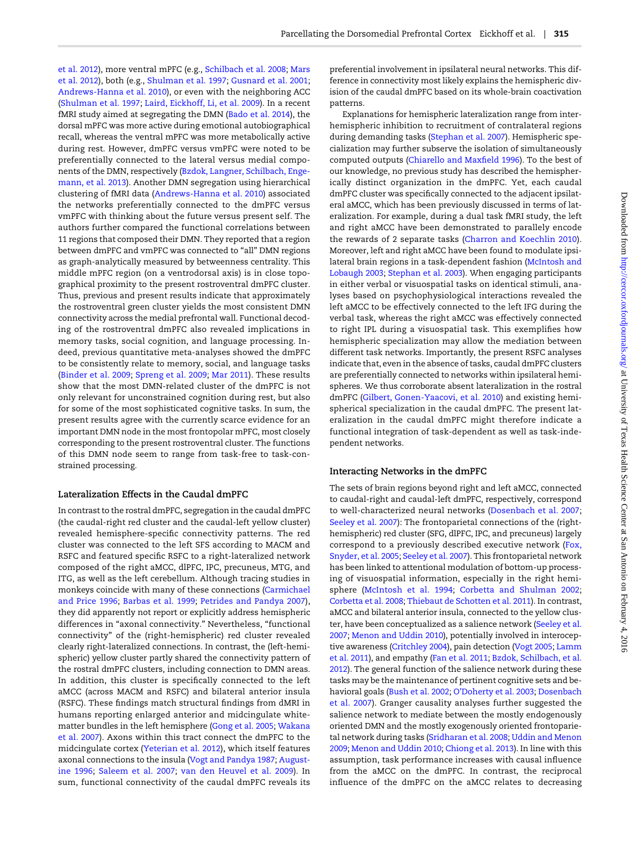[et al. 2012](#page-16-0)), more ventral mPFC (e.g., [Schilbach et al. 2008](#page-16-0); [Mars](#page-15-0) [et al. 2012](#page-15-0)), both (e.g., [Shulman et al. 1997](#page-16-0); [Gusnard et al. 2001;](#page-15-0) [Andrews-Hanna et al. 2010\)](#page-13-0), or even with the neighboring ACC [\(Shulman et al. 1997](#page-16-0); [Laird, Eickhoff, Li, et al. 2009](#page-15-0)). In a recent fMRI study aimed at segregating the DMN ([Bado et al. 2014](#page-13-0)), the dorsal mPFC was more active during emotional autobiographical recall, whereas the ventral mPFC was more metabolically active during rest. However, dmPFC versus vmPFC were noted to be preferentially connected to the lateral versus medial components of the DMN, respectively ([Bzdok, Langner, Schilbach, Enge](#page-14-0)[mann, et al. 2013](#page-14-0)). Another DMN segregation using hierarchical clustering of fMRI data [\(Andrews-Hanna et al. 2010](#page-13-0)) associated the networks preferentially connected to the dmPFC versus vmPFC with thinking about the future versus present self. The authors further compared the functional correlations between 11 regions that composed their DMN. They reported that a region between dmPFC and vmPFC was connected to "all" DMN regions as graph-analytically measured by betweenness centrality. This middle mPFC region (on a ventrodorsal axis) is in close topographical proximity to the present rostroventral dmPFC cluster. Thus, previous and present results indicate that approximately the rostroventral green cluster yields the most consistent DMN connectivity across the medial prefrontal wall. Functional decoding of the rostroventral dmPFC also revealed implications in memory tasks, social cognition, and language processing. Indeed, previous quantitative meta-analyses showed the dmPFC to be consistently relate to memory, social, and language tasks [\(Binder et al. 2009](#page-13-0); [Spreng et al. 2009](#page-16-0); [Mar 2011\)](#page-15-0). These results show that the most DMN-related cluster of the dmPFC is not only relevant for unconstrained cognition during rest, but also for some of the most sophisticated cognitive tasks. In sum, the present results agree with the currently scarce evidence for an important DMN node in the most frontopolar mPFC, most closely corresponding to the present rostroventral cluster. The functions of this DMN node seem to range from task-free to task-constrained processing.

#### Lateralization Effects in the Caudal dmPFC

In contrast to the rostral dmPFC, segregation in the caudal dmPFC (the caudal-right red cluster and the caudal-left yellow cluster) revealed hemisphere-specific connectivity patterns. The red cluster was connected to the left SFS according to MACM and RSFC and featured specific RSFC to a right-lateralized network composed of the right aMCC, dlPFC, IPC, precuneus, MTG, and ITG, as well as the left cerebellum. Although tracing studies in monkeys coincide with many of these connections ([Carmichael](#page-14-0) [and Price 1996](#page-14-0); [Barbas et al. 1999](#page-13-0); [Petrides and Pandya 2007](#page-16-0)), they did apparently not report or explicitly address hemispheric differences in "axonal connectivity." Nevertheless, "functional connectivity" of the (right-hemispheric) red cluster revealed clearly right-lateralized connections. In contrast, the (left-hemispheric) yellow cluster partly shared the connectivity pattern of the rostral dmPFC clusters, including connection to DMN areas. In addition, this cluster is specifically connected to the left aMCC (across MACM and RSFC) and bilateral anterior insula (RSFC). These findings match structural findings from dMRI in humans reporting enlarged anterior and midcingulate whitematter bundles in the left hemisphere ([Gong et al. 2005;](#page-15-0) [Wakana](#page-17-0) [et al. 2007](#page-17-0)). Axons within this tract connect the dmPFC to the midcingulate cortex [\(Yeterian et al. 2012\)](#page-17-0), which itself features axonal connections to the insula [\(Vogt and Pandya 1987](#page-17-0); [August](#page-13-0)[ine 1996](#page-13-0); [Saleem et al. 2007;](#page-16-0) [van den Heuvel et al. 2009](#page-17-0)). In sum, functional connectivity of the caudal dmPFC reveals its

preferential involvement in ipsilateral neural networks. This difference in connectivity most likely explains the hemispheric division of the caudal dmPFC based on its whole-brain coactivation patterns.

Explanations for hemispheric lateralization range from interhemispheric inhibition to recruitment of contralateral regions during demanding tasks ([Stephan et al. 2007\)](#page-17-0). Hemispheric specialization may further subserve the isolation of simultaneously computed outputs [\(Chiarello and Max](#page-14-0)field 1996). To the best of our knowledge, no previous study has described the hemispherically distinct organization in the dmPFC. Yet, each caudal dmPFC cluster was specifically connected to the adjacent ipsilateral aMCC, which has been previously discussed in terms of lateralization. For example, during a dual task fMRI study, the left and right aMCC have been demonstrated to parallely encode the rewards of 2 separate tasks [\(Charron and Koechlin 2010](#page-14-0)). Moreover, left and right aMCC have been found to modulate ipsilateral brain regions in a task-dependent fashion [\(McIntosh and](#page-15-0) [Lobaugh 2003;](#page-15-0) [Stephan et al. 2003](#page-17-0)). When engaging participants in either verbal or visuospatial tasks on identical stimuli, analyses based on psychophysiological interactions revealed the left aMCC to be effectively connected to the left IFG during the verbal task, whereas the right aMCC was effectively connected to right IPL during a visuospatial task. This exemplifies how hemispheric specialization may allow the mediation between different task networks. Importantly, the present RSFC analyses indicate that, even in the absence of tasks, caudal dmPFC clusters are preferentially connected to networks within ipsilateral hemispheres. We thus corroborate absent lateralization in the rostral dmPFC ([Gilbert, Gonen-Yaacovi, et al. 2010\)](#page-15-0) and existing hemispherical specialization in the caudal dmPFC. The present lateralization in the caudal dmPFC might therefore indicate a functional integration of task-dependent as well as task-independent networks.

#### Interacting Networks in the dmPFC

The sets of brain regions beyond right and left aMCC, connected to caudal-right and caudal-left dmPFC, respectively, correspond to well-characterized neural networks [\(Dosenbach et al. 2007;](#page-14-0) [Seeley et al. 2007\)](#page-16-0): The frontoparietal connections of the (righthemispheric) red cluster (SFG, dlPFC, IPC, and precuneus) largely correspond to a previously described executive network ([Fox,](#page-15-0) [Snyder, et al. 2005](#page-15-0); [Seeley et al. 2007\)](#page-16-0). This frontoparietal network has been linked to attentional modulation of bottom-up processing of visuospatial information, especially in the right hemisphere [\(McIntosh et al. 1994](#page-15-0); [Corbetta and Shulman 2002;](#page-14-0) [Corbetta et al. 2008](#page-14-0); [Thiebaut de Schotten et al. 2011\)](#page-17-0). In contrast, aMCC and bilateral anterior insula, connected to the yellow cluster, have been conceptualized as a salience network ([Seeley et al.](#page-16-0) [2007;](#page-16-0) [Menon and Uddin 2010](#page-15-0)), potentially involved in interoceptive awareness ([Critchley 2004](#page-14-0)), pain detection ([Vogt 2005;](#page-17-0) [Lamm](#page-15-0) [et al. 2011](#page-15-0)), and empathy [\(Fan et al. 2011;](#page-14-0) [Bzdok, Schilbach, et al.](#page-14-0) [2012\)](#page-14-0). The general function of the salience network during these tasks may be the maintenance of pertinent cognitive sets and behavioral goals ([Bush et al. 2002;](#page-14-0) O'[Doherty et al. 2003;](#page-16-0) [Dosenbach](#page-14-0) [et al. 2007](#page-14-0)). Granger causality analyses further suggested the salience network to mediate between the mostly endogenously oriented DMN and the mostly exogenously oriented frontoparietal network during tasks ([Sridharan et al. 2008](#page-16-0); [Uddin and Menon](#page-17-0) [2009;](#page-17-0) [Menon and Uddin 2010;](#page-15-0) [Chiong et al. 2013\)](#page-14-0). In line with this assumption, task performance increases with causal influence from the aMCC on the dmPFC. In contrast, the reciprocal influence of the dmPFC on the aMCC relates to decreasing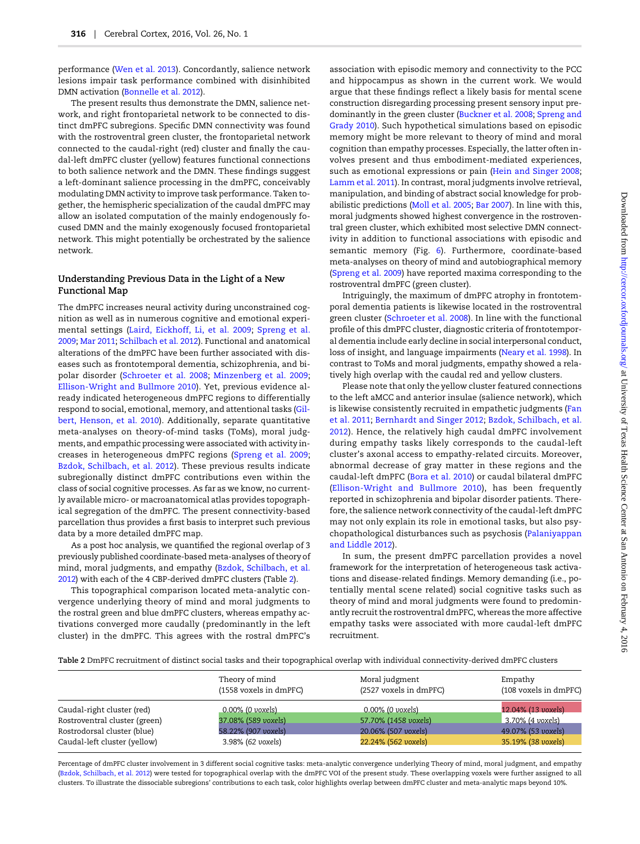performance [\(Wen et al. 2013](#page-17-0)). Concordantly, salience network lesions impair task performance combined with disinhibited DMN activation [\(Bonnelle et al. 2012](#page-13-0)).

The present results thus demonstrate the DMN, salience network, and right frontoparietal network to be connected to distinct dmPFC subregions. Specific DMN connectivity was found with the rostroventral green cluster, the frontoparietal network connected to the caudal-right (red) cluster and finally the caudal-left dmPFC cluster (yellow) features functional connections to both salience network and the DMN. These findings suggest a left-dominant salience processing in the dmPFC, conceivably modulating DMN activity to improve task performance. Taken together, the hemispheric specialization of the caudal dmPFC may allow an isolated computation of the mainly endogenously focused DMN and the mainly exogenously focused frontoparietal network. This might potentially be orchestrated by the salience network.

## Understanding Previous Data in the Light of a New Functional Map

The dmPFC increases neural activity during unconstrained cognition as well as in numerous cognitive and emotional experimental settings ([Laird, Eickhoff, Li, et al. 2009](#page-15-0); [Spreng et al.](#page-16-0) [2009;](#page-16-0) [Mar 2011](#page-15-0); [Schilbach et al. 2012\)](#page-16-0). Functional and anatomical alterations of the dmPFC have been further associated with diseases such as frontotemporal dementia, schizophrenia, and bipolar disorder ([Schroeter et al. 2008;](#page-16-0) [Minzenberg et al. 2009;](#page-16-0) [Ellison-Wright and Bullmore 2010](#page-14-0)). Yet, previous evidence already indicated heterogeneous dmPFC regions to differentially respond to social, emotional, memory, and attentional tasks ([Gil](#page-15-0)[bert, Henson, et al. 2010\)](#page-15-0). Additionally, separate quantitative meta-analyses on theory-of-mind tasks (ToMs), moral judgments, and empathic processing were associated with activity increases in heterogeneous dmPFC regions ([Spreng et al. 2009;](#page-16-0) [Bzdok, Schilbach, et al. 2012\)](#page-14-0). These previous results indicate subregionally distinct dmPFC contributions even within the class of social cognitive processes. As far as we know, no currently available micro- or macroanatomical atlas provides topographical segregation of the dmPFC. The present connectivity-based parcellation thus provides a first basis to interpret such previous data by a more detailed dmPFC map.

As a post hoc analysis, we quantified the regional overlap of 3 previously published coordinate-based meta-analyses of theory of mind, moral judgments, and empathy ([Bzdok, Schilbach, et al.](#page-14-0) [2012](#page-14-0)) with each of the 4 CBP-derived dmPFC clusters (Table 2).

This topographical comparison located meta-analytic convergence underlying theory of mind and moral judgments to the rostral green and blue dmPFC clusters, whereas empathy activations converged more caudally ( predominantly in the left cluster) in the dmPFC. This agrees with the rostral dmPFC's

association with episodic memory and connectivity to the PCC and hippocampus as shown in the current work. We would argue that these findings reflect a likely basis for mental scene construction disregarding processing present sensory input predominantly in the green cluster [\(Buckner et al. 2008](#page-14-0); [Spreng and](#page-16-0) [Grady 2010\)](#page-16-0). Such hypothetical simulations based on episodic memory might be more relevant to theory of mind and moral cognition than empathy processes. Especially, the latter often involves present and thus embodiment-mediated experiences, such as emotional expressions or pain [\(Hein and Singer 2008;](#page-15-0) [Lamm et al. 2011](#page-15-0)). In contrast, moral judgments involve retrieval, manipulation, and binding of abstract social knowledge for probabilistic predictions [\(Moll et al. 2005](#page-16-0); [Bar 2007\)](#page-13-0). In line with this, moral judgments showed highest convergence in the rostroventral green cluster, which exhibited most selective DMN connectivity in addition to functional associations with episodic and semantic memory (Fig. [6](#page-9-0)). Furthermore, coordinate-based meta-analyses on theory of mind and autobiographical memory [\(Spreng et al. 2009\)](#page-16-0) have reported maxima corresponding to the rostroventral dmPFC (green cluster).

Intriguingly, the maximum of dmPFC atrophy in frontotemporal dementia patients is likewise located in the rostroventral green cluster ([Schroeter et al. 2008](#page-16-0)). In line with the functional profile of this dmPFC cluster, diagnostic criteria of frontotemporal dementia include early decline in social interpersonal conduct, loss of insight, and language impairments [\(Neary et al. 1998\)](#page-16-0). In contrast to ToMs and moral judgments, empathy showed a relatively high overlap with the caudal red and yellow clusters.

Please note that only the yellow cluster featured connections to the left aMCC and anterior insulae (salience network), which is likewise consistently recruited in empathetic judgments ([Fan](#page-14-0) [et al. 2011;](#page-14-0) [Bernhardt and Singer 2012;](#page-13-0) Bzdok, [Schilbach, et al.](#page-14-0) [2012](#page-14-0)). Hence, the relatively high caudal dmPFC involvement during empathy tasks likely corresponds to the caudal-left cluster's axonal access to empathy-related circuits. Moreover, abnormal decrease of gray matter in these regions and the caudal-left dmPFC ([Bora et al. 2010\)](#page-13-0) or caudal bilateral dmPFC [\(Ellison-Wright and Bullmore 2010](#page-14-0)), has been frequently reported in schizophrenia and bipolar disorder patients. Therefore, the salience network connectivity of the caudal-left dmPFC may not only explain its role in emotional tasks, but also psychopathological disturbances such as psychosis [\(Palaniyappan](#page-16-0) [and Liddle 2012](#page-16-0)).

In sum, the present dmPFC parcellation provides a novel framework for the interpretation of heterogeneous task activations and disease-related findings. Memory demanding (i.e., potentially mental scene related) social cognitive tasks such as theory of mind and moral judgments were found to predominantly recruit the rostroventral dmPFC, whereas the more affective empathy tasks were associated with more caudal-left dmPFC recruitment.

Table 2 DmPFC recruitment of distinct social tasks and their topographical overlap with individual connectivity-derived dmPFC clusters

|                               | Theory of mind         | Moral judgment         | Empathy               |
|-------------------------------|------------------------|------------------------|-----------------------|
|                               | (1558 voxels in dmPFC) | (2527 voxels in dmPFC) | (108 voxels in dmPFC) |
| Caudal-right cluster (red)    | 0.00% (0 voxels)       | 0.00% (0 voxels)       | 12.04% (13 voxels)    |
| Rostroventral cluster (green) | 37.08% (589 voxels)    | 57.70% (1458 voxels)   | 3.70% (4 voxels)      |
| Rostrodorsal cluster (blue)   | 58.22% (907 voxels)    | 20.06% (507 voxels)    | 49.07% (53 voxels)    |
| Caudal-left cluster (yellow)  | 3.98% (62 voxels)      | 22.24% (562 voxels)    | 35.19% (38 voxels)    |

Percentage of dmPFC cluster involvement in 3 different social cognitive tasks: meta-analytic convergence underlying Theory of mind, moral judgment, and empathy ([Bzdok, Schilbach, et al. 2012](#page-14-0)) were tested for topographical overlap with the dmPFC VOI of the present study. These overlapping voxels were further assigned to all clusters. To illustrate the dissociable subregions' contributions to each task, color highlights overlap between dmPFC cluster and meta-analytic maps beyond 10%.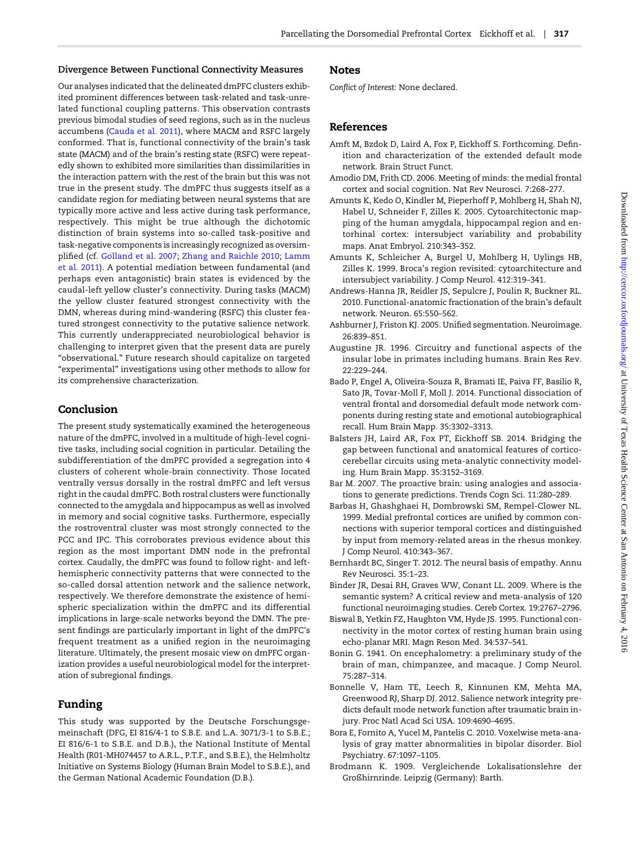#### <span id="page-13-0"></span>Divergence Between Functional Connectivity Measures

Our analyses indicated that the delineated dmPFC clusters exhibited prominent differences between task-related and task-unrelated functional coupling patterns. This observation contrasts previous bimodal studies of seed regions, such as in the nucleus accumbens [\(Cauda et al. 2011](#page-14-0)), where MACM and RSFC largely conformed. That is, functional connectivity of the brain's task state (MACM) and of the brain's resting state (RSFC) were repeatedly shown to exhibited more similarities than dissimilarities in the interaction pattern with the rest of the brain but this was not true in the present study. The dmPFC thus suggests itself as a candidate region for mediating between neural systems that are typically more active and less active during task performance, respectively. This might be true although the dichotomic distinction of brain systems into so-called task-positive and task-negative components is increasingly recognized as oversimplified (cf. [Golland et al. 2007](#page-15-0); [Zhang and Raichle 2010](#page-17-0); [Lamm](#page-15-0) [et al. 2011](#page-15-0)). A potential mediation between fundamental (and perhaps even antagonistic) brain states is evidenced by the caudal-left yellow cluster's connectivity. During tasks (MACM) the yellow cluster featured strongest connectivity with the DMN, whereas during mind-wandering (RSFC) this cluster featured strongest connectivity to the putative salience network. This currently underappreciated neurobiological behavior is challenging to interpret given that the present data are purely "observational." Future research should capitalize on targeted "experimental" investigations using other methods to allow for its comprehensive characterization.

## Conclusion

The present study systematically examined the heterogeneous nature of the dmPFC, involved in a multitude of high-level cognitive tasks, including social cognition in particular. Detailing the subdifferentiation of the dmPFC provided a segregation into 4 clusters of coherent whole-brain connectivity. Those located ventrally versus dorsally in the rostral dmPFC and left versus right in the caudal dmPFC. Both rostral clusters were functionally connected to the amygdala and hippocampus as well as involved in memory and social cognitive tasks. Furthermore, especially the rostroventral cluster was most strongly connected to the PCC and IPC. This corroborates previous evidence about this region as the most important DMN node in the prefrontal cortex. Caudally, the dmPFC was found to follow right- and lefthemispheric connectivity patterns that were connected to the so-called dorsal attention network and the salience network, respectively. We therefore demonstrate the existence of hemispheric specialization within the dmPFC and its differential implications in large-scale networks beyond the DMN. The present findings are particularly important in light of the dmPFC's frequent treatment as a unified region in the neuroimaging literature. Ultimately, the present mosaic view on dmPFC organization provides a useful neurobiological model for the interpretation of subregional findings.

## Funding

This study was supported by the Deutsche Forschungsgemeinschaft (DFG, EI 816/4-1 to S.B.E. and L.A. 3071/3-1 to S.B.E.; EI 816/6-1 to S.B.E. and D.B.), the National Institute of Mental Health (R01-MH074457 to A.R.L., P.T.F., and S.B.E.), the Helmholtz Initiative on Systems Biology (Human Brain Model to S.B.E.), and the German National Academic Foundation (D.B.).

## Notes

Conflict of Interest: None declared.

## References

- Amft M, Bzdok D, Laird A, Fox P, Eickhoff S. Forthcoming. Definition and characterization of the extended default mode network. Brain Struct Funct.
- Amodio DM, Frith CD. 2006. Meeting of minds: the medial frontal cortex and social cognition. Nat Rev Neurosci. 7:268–277.
- Amunts K, Kedo O, Kindler M, Pieperhoff P, Mohlberg H, Shah NJ, Habel U, Schneider F, Zilles K. 2005. Cytoarchitectonic mapping of the human amygdala, hippocampal region and entorhinal cortex: intersubject variability and probability maps. Anat Embryol. 210:343–352.
- Amunts K, Schleicher A, Burgel U, Mohlberg H, Uylings HB, Zilles K. 1999. Broca's region revisited: cytoarchitecture and intersubject variability. J Comp Neurol. 412:319–341.
- Andrews-Hanna JR, Reidler JS, Sepulcre J, Poulin R, Buckner RL. 2010. Functional-anatomic fractionation of the brain's default network. Neuron. 65:550–562.
- Ashburner J, Friston KJ. 2005. Unified segmentation. Neuroimage. 26:839–851.
- Augustine JR. 1996. Circuitry and functional aspects of the insular lobe in primates including humans. Brain Res Rev. 22:229–244.
- Bado P, Engel A, Oliveira-Souza R, Bramati IE, Paiva FF, Basilio R, Sato JR, Tovar-Moll F, Moll J. 2014. Functional dissociation of ventral frontal and dorsomedial default mode network components during resting state and emotional autobiographical recall. Hum Brain Mapp. 35:3302–3313.
- Balsters JH, Laird AR, Fox PT, Eickhoff SB. 2014. Bridging the gap between functional and anatomical features of corticocerebellar circuits using meta-analytic connectivity modeling. Hum Brain Mapp. 35:3152–3169.
- Bar M. 2007. The proactive brain: using analogies and associations to generate predictions. Trends Cogn Sci. 11:280–289.
- Barbas H, Ghashghaei H, Dombrowski SM, Rempel-Clower NL. 1999. Medial prefrontal cortices are unified by common connections with superior temporal cortices and distinguished by input from memory-related areas in the rhesus monkey. J Comp Neurol. 410:343–367.
- Bernhardt BC, Singer T. 2012. The neural basis of empathy. Annu Rev Neurosci. 35:1–23.
- Binder JR, Desai RH, Graves WW, Conant LL. 2009. Where is the semantic system? A critical review and meta-analysis of 120 functional neuroimaging studies. Cereb Cortex. 19:2767–2796.
- Biswal B, Yetkin FZ, Haughton VM, Hyde JS. 1995. Functional connectivity in the motor cortex of resting human brain using echo-planar MRI. Magn Reson Med. 34:537–541.
- Bonin G. 1941. On encephalometry: a preliminary study of the brain of man, chimpanzee, and macaque. J Comp Neurol. 75:287–314.
- Bonnelle V, Ham TE, Leech R, Kinnunen KM, Mehta MA, Greenwood RJ, Sharp DJ. 2012. Salience network integrity predicts default mode network function after traumatic brain injury. Proc Natl Acad Sci USA. 109:4690–4695.
- Bora E, Fornito A, Yucel M, Pantelis C. 2010. Voxelwise meta-analysis of gray matter abnormalities in bipolar disorder. Biol Psychiatry. 67:1097–1105.
- Brodmann K. 1909. Vergleichende Lokalisationslehre der Großhirnrinde. Leipzig (Germany): Barth.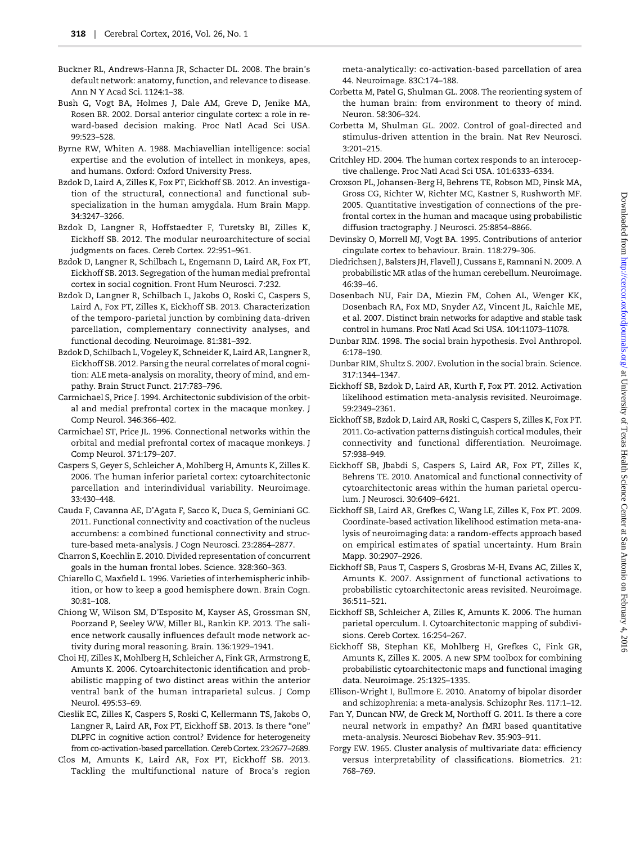- <span id="page-14-0"></span>Buckner RL, Andrews-Hanna JR, Schacter DL. 2008. The brain's default network: anatomy, function, and relevance to disease. Ann N Y Acad Sci. 1124:1–38.
- Bush G, Vogt BA, Holmes J, Dale AM, Greve D, Jenike MA, Rosen BR. 2002. Dorsal anterior cingulate cortex: a role in reward-based decision making. Proc Natl Acad Sci USA. 99:523–528.
- Byrne RW, Whiten A. 1988. Machiavellian intelligence: social expertise and the evolution of intellect in monkeys, apes, and humans. Oxford: Oxford University Press.
- Bzdok D, Laird A, Zilles K, Fox PT, Eickhoff SB. 2012. An investigation of the structural, connectional and functional subspecialization in the human amygdala. Hum Brain Mapp. 34:3247–3266.
- Bzdok D, Langner R, Hoffstaedter F, Turetsky BI, Zilles K, Eickhoff SB. 2012. The modular neuroarchitecture of social judgments on faces. Cereb Cortex. 22:951–961.
- Bzdok D, Langner R, Schilbach L, Engemann D, Laird AR, Fox PT, Eickhoff SB. 2013. Segregation of the human medial prefrontal cortex in social cognition. Front Hum Neurosci. 7:232.
- Bzdok D, Langner R, Schilbach L, Jakobs O, Roski C, Caspers S, Laird A, Fox PT, Zilles K, Eickhoff SB. 2013. Characterization of the temporo-parietal junction by combining data-driven parcellation, complementary connectivity analyses, and functional decoding. Neuroimage. 81:381–392.
- Bzdok D, Schilbach L, Vogeley K, Schneider K, Laird AR, Langner R, Eickhoff SB. 2012. Parsing the neural correlates of moral cognition: ALE meta-analysis on morality, theory of mind, and empathy. Brain Struct Funct. 217:783–796.
- Carmichael S, Price J. 1994. Architectonic subdivision of the orbital and medial prefrontal cortex in the macaque monkey. J Comp Neurol. 346:366–402.
- Carmichael ST, Price JL. 1996. Connectional networks within the orbital and medial prefrontal cortex of macaque monkeys. J Comp Neurol. 371:179–207.
- Caspers S, Geyer S, Schleicher A, Mohlberg H, Amunts K, Zilles K. 2006. The human inferior parietal cortex: cytoarchitectonic parcellation and interindividual variability. Neuroimage. 33:430–448.
- Cauda F, Cavanna AE, D'Agata F, Sacco K, Duca S, Geminiani GC. 2011. Functional connectivity and coactivation of the nucleus accumbens: a combined functional connectivity and structure-based meta-analysis. J Cogn Neurosci. 23:2864–2877.
- Charron S, Koechlin E. 2010. Divided representation of concurrent goals in the human frontal lobes. Science. 328:360–363.
- Chiarello C, Maxfield L. 1996. Varieties of interhemispheric inhibition, or how to keep a good hemisphere down. Brain Cogn. 30:81–108.
- Chiong W, Wilson SM, D'Esposito M, Kayser AS, Grossman SN, Poorzand P, Seeley WW, Miller BL, Rankin KP. 2013. The salience network causally influences default mode network activity during moral reasoning. Brain. 136:1929–1941.
- Choi HJ, Zilles K, Mohlberg H, Schleicher A, Fink GR, Armstrong E, Amunts K. 2006. Cytoarchitectonic identification and probabilistic mapping of two distinct areas within the anterior ventral bank of the human intraparietal sulcus. J Comp Neurol. 495:53–69.
- Cieslik EC, Zilles K, Caspers S, Roski C, Kellermann TS, Jakobs O, Langner R, Laird AR, Fox PT, Eickhoff SB. 2013. Is there "one" DLPFC in cognitive action control? Evidence for heterogeneity from co-activation-based parcellation. Cereb Cortex. 23:2677–2689.
- Clos M, Amunts K, Laird AR, Fox PT, Eickhoff SB. 2013. Tackling the multifunctional nature of Broca's region

meta-analytically: co-activation-based parcellation of area 44. Neuroimage. 83C:174–188.

- Corbetta M, Patel G, Shulman GL. 2008. The reorienting system of the human brain: from environment to theory of mind. Neuron. 58:306–324.
- Corbetta M, Shulman GL. 2002. Control of goal-directed and stimulus-driven attention in the brain. Nat Rev Neurosci. 3:201–215.
- Critchley HD. 2004. The human cortex responds to an interoceptive challenge. Proc Natl Acad Sci USA. 101:6333–6334.
- Croxson PL, Johansen-Berg H, Behrens TE, Robson MD, Pinsk MA, Gross CG, Richter W, Richter MC, Kastner S, Rushworth MF. 2005. Quantitative investigation of connections of the prefrontal cortex in the human and macaque using probabilistic diffusion tractography. J Neurosci. 25:8854–8866.
- Devinsky O, Morrell MJ, Vogt BA. 1995. Contributions of anterior cingulate cortex to behaviour. Brain. 118:279–306.
- Diedrichsen J, Balsters JH, Flavell J, Cussans E, Ramnani N. 2009. A probabilistic MR atlas of the human cerebellum. Neuroimage. 46:39–46.
- Dosenbach NU, Fair DA, Miezin FM, Cohen AL, Wenger KK, Dosenbach RA, Fox MD, Snyder AZ, Vincent JL, Raichle ME, et al. 2007. Distinct brain networks for adaptive and stable task control in humans. Proc Natl Acad Sci USA. 104:11073–11078.
- Dunbar RIM. 1998. The social brain hypothesis. Evol Anthropol. 6:178–190.
- Dunbar RIM, Shultz S. 2007. Evolution in the social brain. Science. 317:1344–1347.
- Eickhoff SB, Bzdok D, Laird AR, Kurth F, Fox PT. 2012. Activation likelihood estimation meta-analysis revisited. Neuroimage. 59:2349–2361.
- Eickhoff SB, Bzdok D, Laird AR, Roski C, Caspers S, Zilles K, Fox PT. 2011. Co-activation patterns distinguish cortical modules, their connectivity and functional differentiation. Neuroimage. 57:938–949.
- Eickhoff SB, Jbabdi S, Caspers S, Laird AR, Fox PT, Zilles K, Behrens TE. 2010. Anatomical and functional connectivity of cytoarchitectonic areas within the human parietal operculum. J Neurosci. 30:6409–6421.
- Eickhoff SB, Laird AR, Grefkes C, Wang LE, Zilles K, Fox PT. 2009. Coordinate-based activation likelihood estimation meta-analysis of neuroimaging data: a random-effects approach based on empirical estimates of spatial uncertainty. Hum Brain Mapp. 30:2907–2926.
- Eickhoff SB, Paus T, Caspers S, Grosbras M-H, Evans AC, Zilles K, Amunts K. 2007. Assignment of functional activations to probabilistic cytoarchitectonic areas revisited. Neuroimage. 36:511–521.
- Eickhoff SB, Schleicher A, Zilles K, Amunts K. 2006. The human parietal operculum. I. Cytoarchitectonic mapping of subdivisions. Cereb Cortex. 16:254–267.
- Eickhoff SB, Stephan KE, Mohlberg H, Grefkes C, Fink GR, Amunts K, Zilles K. 2005. A new SPM toolbox for combining probabilistic cytoarchitectonic maps and functional imaging data. Neuroimage. 25:1325–1335.
- Ellison-Wright I, Bullmore E. 2010. Anatomy of bipolar disorder and schizophrenia: a meta-analysis. Schizophr Res. 117:1–12.
- Fan Y, Duncan NW, de Greck M, Northoff G. 2011. Is there a core neural network in empathy? An fMRI based quantitative meta-analysis. Neurosci Biobehav Rev. 35:903–911.
- Forgy EW. 1965. Cluster analysis of multivariate data: efficiency versus interpretability of classifications. Biometrics. 21: 768–769.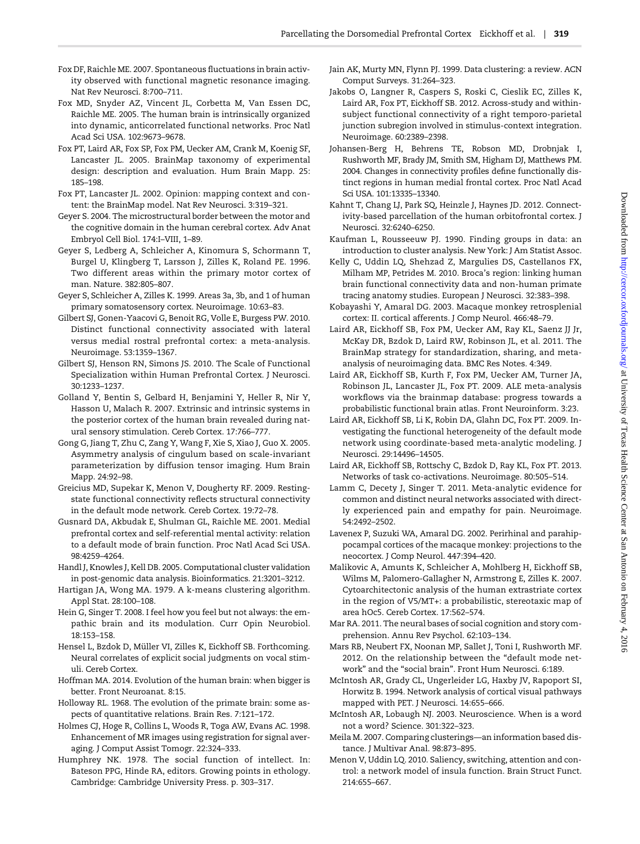- <span id="page-15-0"></span>Fox DF, Raichle ME. 2007. Spontaneous fluctuations in brain activity observed with functional magnetic resonance imaging. Nat Rev Neurosci. 8:700–711.
- Fox MD, Snyder AZ, Vincent JL, Corbetta M, Van Essen DC, Raichle ME. 2005. The human brain is intrinsically organized into dynamic, anticorrelated functional networks. Proc Natl Acad Sci USA. 102:9673–9678.
- Fox PT, Laird AR, Fox SP, Fox PM, Uecker AM, Crank M, Koenig SF, Lancaster JL. 2005. BrainMap taxonomy of experimental design: description and evaluation. Hum Brain Mapp. 25: 185–198.
- Fox PT, Lancaster JL. 2002. Opinion: mapping context and content: the BrainMap model. Nat Rev Neurosci. 3:319–321.
- Geyer S. 2004. The microstructural border between the motor and the cognitive domain in the human cerebral cortex. Adv Anat Embryol Cell Biol. 174:I–VIII, 1–89.
- Geyer S, Ledberg A, Schleicher A, Kinomura S, Schormann T, Burgel U, Klingberg T, Larsson J, Zilles K, Roland PE. 1996. Two different areas within the primary motor cortex of man. Nature. 382:805–807.
- Geyer S, Schleicher A, Zilles K. 1999. Areas 3a, 3b, and 1 of human primary somatosensory cortex. Neuroimage. 10:63–83.
- Gilbert SJ, Gonen-Yaacovi G, Benoit RG, Volle E, Burgess PW. 2010. Distinct functional connectivity associated with lateral versus medial rostral prefrontal cortex: a meta-analysis. Neuroimage. 53:1359–1367.
- Gilbert SJ, Henson RN, Simons JS. 2010. The Scale of Functional Specialization within Human Prefrontal Cortex. J Neurosci. 30:1233–1237.
- Golland Y, Bentin S, Gelbard H, Benjamini Y, Heller R, Nir Y, Hasson U, Malach R. 2007. Extrinsic and intrinsic systems in the posterior cortex of the human brain revealed during natural sensory stimulation. Cereb Cortex. 17:766–777.
- Gong G, Jiang T, Zhu C, Zang Y, Wang F, Xie S, Xiao J, Guo X. 2005. Asymmetry analysis of cingulum based on scale-invariant parameterization by diffusion tensor imaging. Hum Brain Mapp. 24:92–98.
- Greicius MD, Supekar K, Menon V, Dougherty RF. 2009. Restingstate functional connectivity reflects structural connectivity in the default mode network. Cereb Cortex. 19:72–78.
- Gusnard DA, Akbudak E, Shulman GL, Raichle ME. 2001. Medial prefrontal cortex and self-referential mental activity: relation to a default mode of brain function. Proc Natl Acad Sci USA. 98:4259–4264.
- Handl J, Knowles J, Kell DB. 2005. Computational cluster validation in post-genomic data analysis. Bioinformatics. 21:3201–3212.
- Hartigan JA, Wong MA. 1979. A k-means clustering algorithm. Appl Stat. 28:100–108.
- Hein G, Singer T. 2008. I feel how you feel but not always: the empathic brain and its modulation. Curr Opin Neurobiol. 18:153–158.
- Hensel L, Bzdok D, Müller VI, Zilles K, Eickhoff SB. Forthcoming. Neural correlates of explicit social judgments on vocal stimuli. Cereb Cortex.
- Hoffman MA. 2014. Evolution of the human brain: when bigger is better. Front Neuroanat. 8:15.
- Holloway RL. 1968. The evolution of the primate brain: some aspects of quantitative relations. Brain Res. 7:121–172.
- Holmes CJ, Hoge R, Collins L, Woods R, Toga AW, Evans AC. 1998. Enhancement of MR images using registration for signal averaging. J Comput Assist Tomogr. 22:324–333.
- Humphrey NK. 1978. The social function of intellect. In: Bateson PPG, Hinde RA, editors. Growing points in ethology. Cambridge: Cambridge University Press. p. 303–317.
- Jain AK, Murty MN, Flynn PJ. 1999. Data clustering: a review. ACN Comput Surveys. 31:264–323.
- Jakobs O, Langner R, Caspers S, Roski C, Cieslik EC, Zilles K, Laird AR, Fox PT, Eickhoff SB. 2012. Across-study and withinsubject functional connectivity of a right temporo-parietal junction subregion involved in stimulus-context integration. Neuroimage. 60:2389–2398.
- Johansen-Berg H, Behrens TE, Robson MD, Drobnjak I, Rushworth MF, Brady JM, Smith SM, Higham DJ, Matthews PM. 2004. Changes in connectivity profiles define functionally distinct regions in human medial frontal cortex. Proc Natl Acad Sci USA. 101:13335–13340.
- Kahnt T, Chang LJ, Park SQ, Heinzle J, Haynes JD. 2012. Connectivity-based parcellation of the human orbitofrontal cortex. J Neurosci. 32:6240–6250.
- Kaufman L, Rousseeuw PJ. 1990. Finding groups in data: an introduction to cluster analysis. New York: J Am Statist Assoc.
- Kelly C, Uddin LQ, Shehzad Z, Margulies DS, Castellanos FX, Milham MP, Petrides M. 2010. Broca's region: linking human brain functional connectivity data and non-human primate tracing anatomy studies. European J Neurosci. 32:383–398.
- Kobayashi Y, Amaral DG. 2003. Macaque monkey retrosplenial cortex: II. cortical afferents. J Comp Neurol. 466:48–79.
- Laird AR, Eickhoff SB, Fox PM, Uecker AM, Ray KL, Saenz JJ Jr, McKay DR, Bzdok D, Laird RW, Robinson JL, et al. 2011. The BrainMap strategy for standardization, sharing, and metaanalysis of neuroimaging data. BMC Res Notes. 4:349.
- Laird AR, Eickhoff SB, Kurth F, Fox PM, Uecker AM, Turner JA, Robinson JL, Lancaster JL, Fox PT. 2009. ALE meta-analysis workflows via the brainmap database: progress towards a probabilistic functional brain atlas. Front Neuroinform. 3:23.
- Laird AR, Eickhoff SB, Li K, Robin DA, Glahn DC, Fox PT. 2009. Investigating the functional heterogeneity of the default mode network using coordinate-based meta-analytic modeling. J Neurosci. 29:14496–14505.
- Laird AR, Eickhoff SB, Rottschy C, Bzdok D, Ray KL, Fox PT. 2013. Networks of task co-activations. Neuroimage. 80:505–514.
- Lamm C, Decety J, Singer T. 2011. Meta-analytic evidence for common and distinct neural networks associated with directly experienced pain and empathy for pain. Neuroimage. 54:2492–2502.
- Lavenex P, Suzuki WA, Amaral DG. 2002. Perirhinal and parahippocampal cortices of the macaque monkey: projections to the neocortex. J Comp Neurol. 447:394–420.
- Malikovic A, Amunts K, Schleicher A, Mohlberg H, Eickhoff SB, Wilms M, Palomero-Gallagher N, Armstrong E, Zilles K. 2007. Cytoarchitectonic analysis of the human extrastriate cortex in the region of V5/MT+: a probabilistic, stereotaxic map of area hOc5. Cereb Cortex. 17:562–574.
- Mar RA. 2011. The neural bases of social cognition and story comprehension. Annu Rev Psychol. 62:103–134.
- Mars RB, Neubert FX, Noonan MP, Sallet J, Toni I, Rushworth MF. 2012. On the relationship between the "default mode network" and the "social brain". Front Hum Neurosci. 6:189.
- McIntosh AR, Grady CL, Ungerleider LG, Haxby JV, Rapoport SI, Horwitz B. 1994. Network analysis of cortical visual pathways mapped with PET. J Neurosci. 14:655–666.
- McIntosh AR, Lobaugh NJ. 2003. Neuroscience. When is a word not a word? Science. 301:322–323.
- Meila M. 2007. Comparing clusterings—an information based distance. J Multivar Anal. 98:873–895.
- Menon V, Uddin LQ. 2010. Saliency, switching, attention and control: a network model of insula function. Brain Struct Funct. 214:655–667.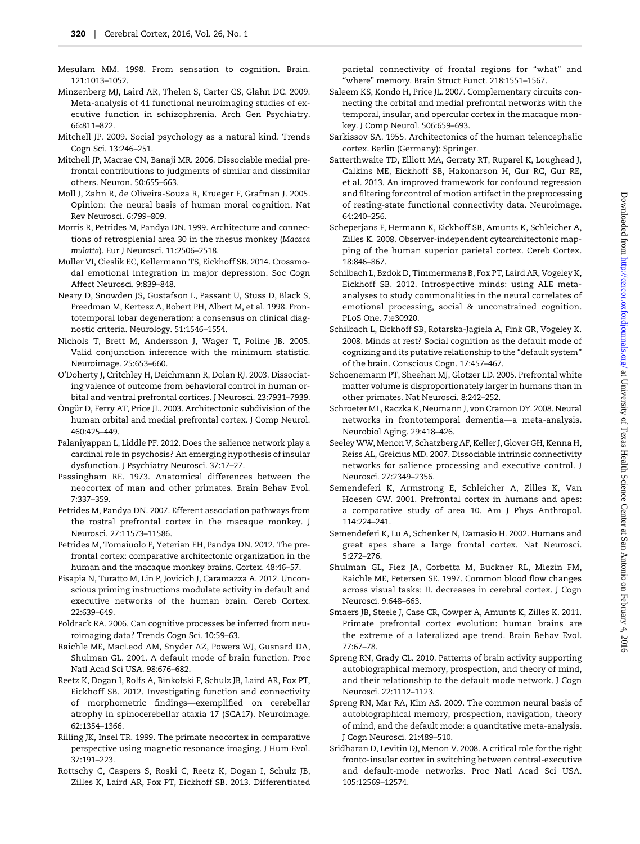- <span id="page-16-0"></span>Mesulam MM. 1998. From sensation to cognition. Brain. 121:1013–1052.
- Minzenberg MJ, Laird AR, Thelen S, Carter CS, Glahn DC. 2009. Meta-analysis of 41 functional neuroimaging studies of executive function in schizophrenia. Arch Gen Psychiatry. 66:811–822.
- Mitchell JP. 2009. Social psychology as a natural kind. Trends Cogn Sci. 13:246–251.
- Mitchell JP, Macrae CN, Banaji MR. 2006. Dissociable medial prefrontal contributions to judgments of similar and dissimilar others. Neuron. 50:655–663.
- Moll J, Zahn R, de Oliveira-Souza R, Krueger F, Grafman J. 2005. Opinion: the neural basis of human moral cognition. Nat Rev Neurosci. 6:799–809.
- Morris R, Petrides M, Pandya DN. 1999. Architecture and connections of retrosplenial area 30 in the rhesus monkey (Macaca mulatta). Eur J Neurosci. 11:2506–2518.
- Muller VI, Cieslik EC, Kellermann TS, Eickhoff SB. 2014. Crossmodal emotional integration in major depression. Soc Cogn Affect Neurosci. 9:839–848.
- Neary D, Snowden JS, Gustafson L, Passant U, Stuss D, Black S, Freedman M, Kertesz A, Robert PH, Albert M, et al. 1998. Frontotemporal lobar degeneration: a consensus on clinical diagnostic criteria. Neurology. 51:1546–1554.
- Nichols T, Brett M, Andersson J, Wager T, Poline JB. 2005. Valid conjunction inference with the minimum statistic. Neuroimage. 25:653–660.
- O'Doherty J, Critchley H, Deichmann R, Dolan RJ. 2003. Dissociating valence of outcome from behavioral control in human orbital and ventral prefrontal cortices. J Neurosci. 23:7931–7939.
- Öngür D, Ferry AT, Price JL. 2003. Architectonic subdivision of the human orbital and medial prefrontal cortex. J Comp Neurol. 460:425–449.
- Palaniyappan L, Liddle PF. 2012. Does the salience network play a cardinal role in psychosis? An emerging hypothesis of insular dysfunction. J Psychiatry Neurosci. 37:17–27.
- Passingham RE. 1973. Anatomical differences between the neocortex of man and other primates. Brain Behav Evol. 7:337–359.
- Petrides M, Pandya DN. 2007. Efferent association pathways from the rostral prefrontal cortex in the macaque monkey. J Neurosci. 27:11573–11586.
- Petrides M, Tomaiuolo F, Yeterian EH, Pandya DN. 2012. The prefrontal cortex: comparative architectonic organization in the human and the macaque monkey brains. Cortex. 48:46–57.
- Pisapia N, Turatto M, Lin P, Jovicich J, Caramazza A. 2012. Unconscious priming instructions modulate activity in default and executive networks of the human brain. Cereb Cortex. 22:639–649.
- Poldrack RA. 2006. Can cognitive processes be inferred from neuroimaging data? Trends Cogn Sci. 10:59–63.
- Raichle ME, MacLeod AM, Snyder AZ, Powers WJ, Gusnard DA, Shulman GL. 2001. A default mode of brain function. Proc Natl Acad Sci USA. 98:676–682.
- Reetz K, Dogan I, Rolfs A, Binkofski F, Schulz JB, Laird AR, Fox PT, Eickhoff SB. 2012. Investigating function and connectivity of morphometric findings—exemplified on cerebellar atrophy in spinocerebellar ataxia 17 (SCA17). Neuroimage. 62:1354–1366.
- Rilling JK, Insel TR. 1999. The primate neocortex in comparative perspective using magnetic resonance imaging. J Hum Evol. 37:191–223.
- Rottschy C, Caspers S, Roski C, Reetz K, Dogan I, Schulz JB, Zilles K, Laird AR, Fox PT, Eickhoff SB. 2013. Differentiated

parietal connectivity of frontal regions for "what" and "where" memory. Brain Struct Funct. 218:1551–1567.

- Saleem KS, Kondo H, Price JL. 2007. Complementary circuits connecting the orbital and medial prefrontal networks with the temporal, insular, and opercular cortex in the macaque monkey. J Comp Neurol. 506:659–693.
- Sarkissov SA. 1955. Architectonics of the human telencephalic cortex. Berlin (Germany): Springer.
- Satterthwaite TD, Elliott MA, Gerraty RT, Ruparel K, Loughead J, Calkins ME, Eickhoff SB, Hakonarson H, Gur RC, Gur RE, et al. 2013. An improved framework for confound regression and filtering for control of motion artifact in the preprocessing of resting-state functional connectivity data. Neuroimage. 64:240–256.
- Scheperjans F, Hermann K, Eickhoff SB, Amunts K, Schleicher A, Zilles K. 2008. Observer-independent cytoarchitectonic mapping of the human superior parietal cortex. Cereb Cortex. 18:846–867.
- Schilbach L, Bzdok D, Timmermans B, Fox PT, Laird AR, Vogeley K, Eickhoff SB. 2012. Introspective minds: using ALE metaanalyses to study commonalities in the neural correlates of emotional processing, social & unconstrained cognition. PLoS One. 7:e30920.
- Schilbach L, Eickhoff SB, Rotarska-Jagiela A, Fink GR, Vogeley K. 2008. Minds at rest? Social cognition as the default mode of cognizing and its putative relationship to the "default system" of the brain. Conscious Cogn. 17:457–467.
- Schoenemann PT, Sheehan MJ, Glotzer LD. 2005. Prefrontal white matter volume is disproportionately larger in humans than in other primates. Nat Neurosci. 8:242–252.
- Schroeter ML, Raczka K, Neumann J, von Cramon DY. 2008. Neural networks in frontotemporal dementia—a meta-analysis. Neurobiol Aging. 29:418–426.
- Seeley WW, Menon V, Schatzberg AF, Keller J, Glover GH, Kenna H, Reiss AL, Greicius MD. 2007. Dissociable intrinsic connectivity networks for salience processing and executive control. J Neurosci. 27:2349–2356.
- Semendeferi K, Armstrong E, Schleicher A, Zilles K, Van Hoesen GW. 2001. Prefrontal cortex in humans and apes: a comparative study of area 10. Am J Phys Anthropol. 114:224–241.
- Semendeferi K, Lu A, Schenker N, Damasio H. 2002. Humans and great apes share a large frontal cortex. Nat Neurosci. 5:272–276.
- Shulman GL, Fiez JA, Corbetta M, Buckner RL, Miezin FM, Raichle ME, Petersen SE. 1997. Common blood flow changes across visual tasks: II. decreases in cerebral cortex. J Cogn Neurosci. 9:648–663.
- Smaers JB, Steele J, Case CR, Cowper A, Amunts K, Zilles K. 2011. Primate prefrontal cortex evolution: human brains are the extreme of a lateralized ape trend. Brain Behav Evol. 77:67–78.
- Spreng RN, Grady CL. 2010. Patterns of brain activity supporting autobiographical memory, prospection, and theory of mind, and their relationship to the default mode network. J Cogn Neurosci. 22:1112–1123.
- Spreng RN, Mar RA, Kim AS. 2009. The common neural basis of autobiographical memory, prospection, navigation, theory of mind, and the default mode: a quantitative meta-analysis. J Cogn Neurosci. 21:489–510.
- Sridharan D, Levitin DJ, Menon V. 2008. A critical role for the right fronto-insular cortex in switching between central-executive and default-mode networks. Proc Natl Acad Sci USA. 105:12569–12574.